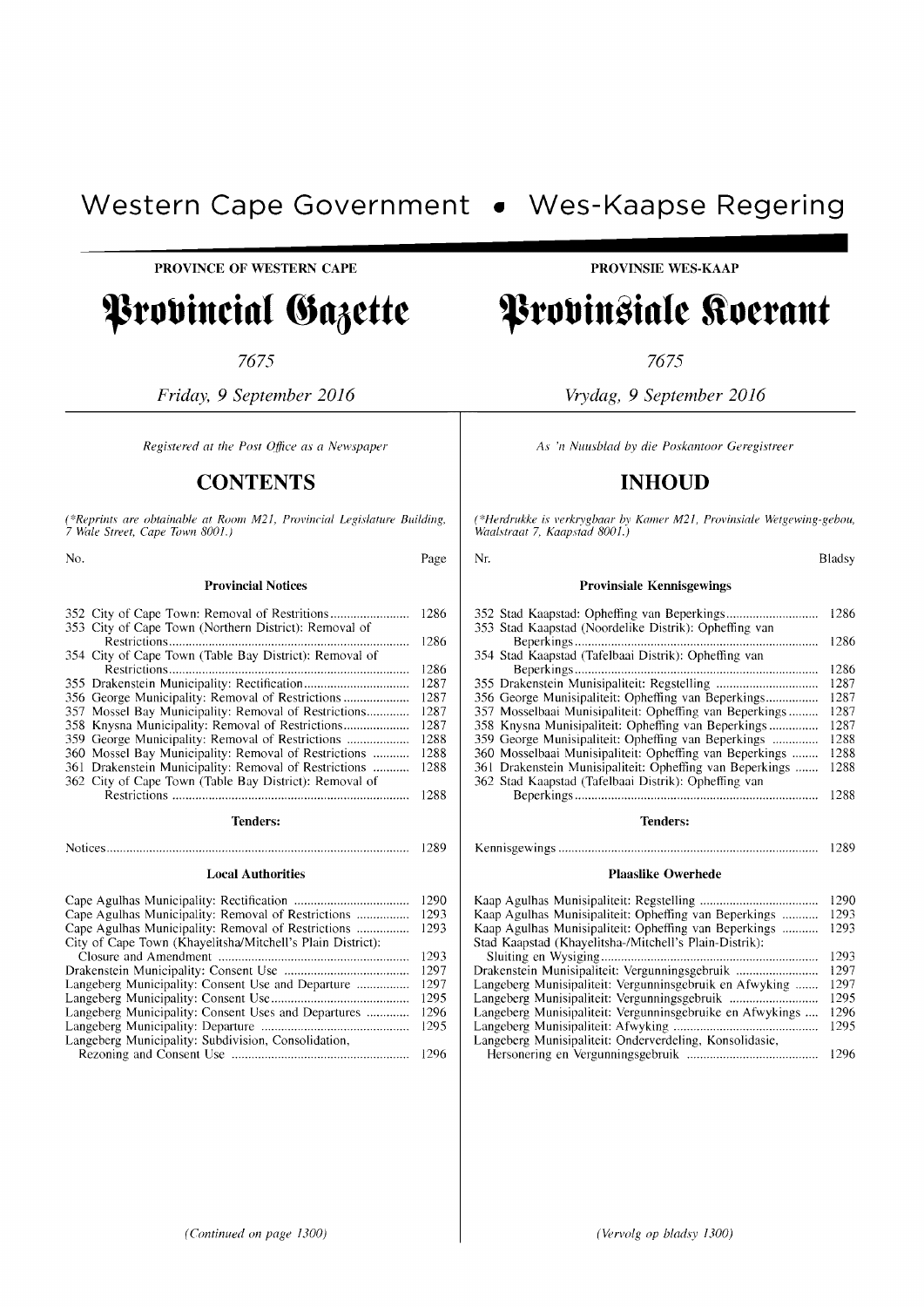# **Western Cape Government** • **Wes-Kaapse Regering**  PROVINCE OF WESTERN CAPE **.......... ..**

**------------------------**

### Provincial Gazette

7675

*Friday,* 9 *September 2016* 

*Registered at the Post Office as a Newspaper* 

#### **CONTENTS**

(\*Reprints are obtainable at Room M21, Provincial Legislature Building,<br>7 Wale Street, Cape Town 8001.)

No. Page Provincial Notices

|                 |                                                        | 1286 |  |
|-----------------|--------------------------------------------------------|------|--|
|                 | 353 City of Cape Town (Northern District): Removal of  |      |  |
|                 |                                                        | 1286 |  |
|                 | 354 City of Cape Town (Table Bay District): Removal of |      |  |
|                 |                                                        | 1286 |  |
|                 |                                                        | 1287 |  |
|                 | 356 George Municipality: Removal of Restrictions       | 1287 |  |
|                 |                                                        | 1287 |  |
|                 | 358 Knysna Municipality: Removal of Restrictions       | 1287 |  |
|                 | 359 George Municipality: Removal of Restrictions       | 1288 |  |
|                 | 360 Mossel Bay Municipality: Removal of Restrictions   | 1288 |  |
|                 | 361 Drakenstein Municipality: Removal of Restrictions  | 1288 |  |
|                 | 362 City of Cape Town (Table Bay District): Removal of |      |  |
|                 |                                                        | 1288 |  |
| <b>Tenders:</b> |                                                        |      |  |
|                 |                                                        |      |  |

#### Notices............................................................................................ 1289 Local Authorities

|                                                            | 1290 |
|------------------------------------------------------------|------|
|                                                            | 1293 |
|                                                            | 1293 |
| City of Cape Town (Khayelitsha/Mitchell's Plain District): |      |
|                                                            | 1293 |
|                                                            | 1297 |
|                                                            | 1297 |
|                                                            | 1295 |
| Langeberg Municipality: Consent Uses and Departures        | 1296 |
|                                                            | 1295 |
| Langeberg Municipality: Subdivision, Consolidation,        |      |
|                                                            | 1296 |

PROVINSIE WES-KAAP

### Provinsiale Koerant

7675

*Vrydag,* 9 *September 2016* 

*As* '/1 *Nuusblad by die Poskantoor Geregistreer* 

#### **INHOUD**

*(\*Herdrukke is verkrygbaar by Kalller M21, Provinsiale Wetgewing-gebou, Waalstraat* 7, *Kaapstad 8001.)* 

| Nr.                                                      | Bladsy |
|----------------------------------------------------------|--------|
| <b>Provinsiale Kennisgewings</b>                         |        |
|                                                          | 1286   |
| 353 Stad Kaapstad (Noordelike Distrik): Opheffing van    | 1286   |
| 354 Stad Kaapstad (Tafelbaai Distrik): Opheffing van     | 1286   |
|                                                          | 1287   |
| 356 George Munisipaliteit: Opheffing van Beperkings      | 1287   |
| 357 Mosselbaai Munisipaliteit: Opheffing van Beperkings  | 1287   |
| 358 Knysna Munisipaliteit: Opheffing van Beperkings      | 1287   |
| 359 George Munisipaliteit: Opheffing van Beperkings      | 1288   |
| 360 Mosselbaai Munisipaliteit: Opheffing van Beperkings  | 1288   |
| 361 Drakenstein Munisipaliteit: Opheffing van Beperkings | 1288   |
| 362 Stad Kaapstad (Tafelbaai Distrik): Opheffing van     |        |
|                                                          | 1288   |
| Tenders:                                                 |        |

Kennisgewings ............................................................................... 1289

#### Plaaslike Owerhede

|                                                           | 1290 |
|-----------------------------------------------------------|------|
| Kaap Agulhas Munisipaliteit: Opheffing van Beperkings     | 1293 |
| Kaap Agulhas Munisipaliteit: Opheffing van Beperkings     | 1293 |
| Stad Kaapstad (Khayelitsha-/Mitchell's Plain-Distrik):    |      |
|                                                           | 1293 |
| Drakenstein Munisipaliteit: Vergunningsgebruik            | 1297 |
| Langeberg Munisipaliteit: Vergunninsgebruik en Afwyking   | 1297 |
|                                                           | 1295 |
| Langeberg Munisipaliteit: Vergunninsgebruike en Afwykings | 1296 |
|                                                           | 1295 |
| Langeberg Munisipaliteit: Onderverdeling, Konsolidasie,   |      |
|                                                           | 1296 |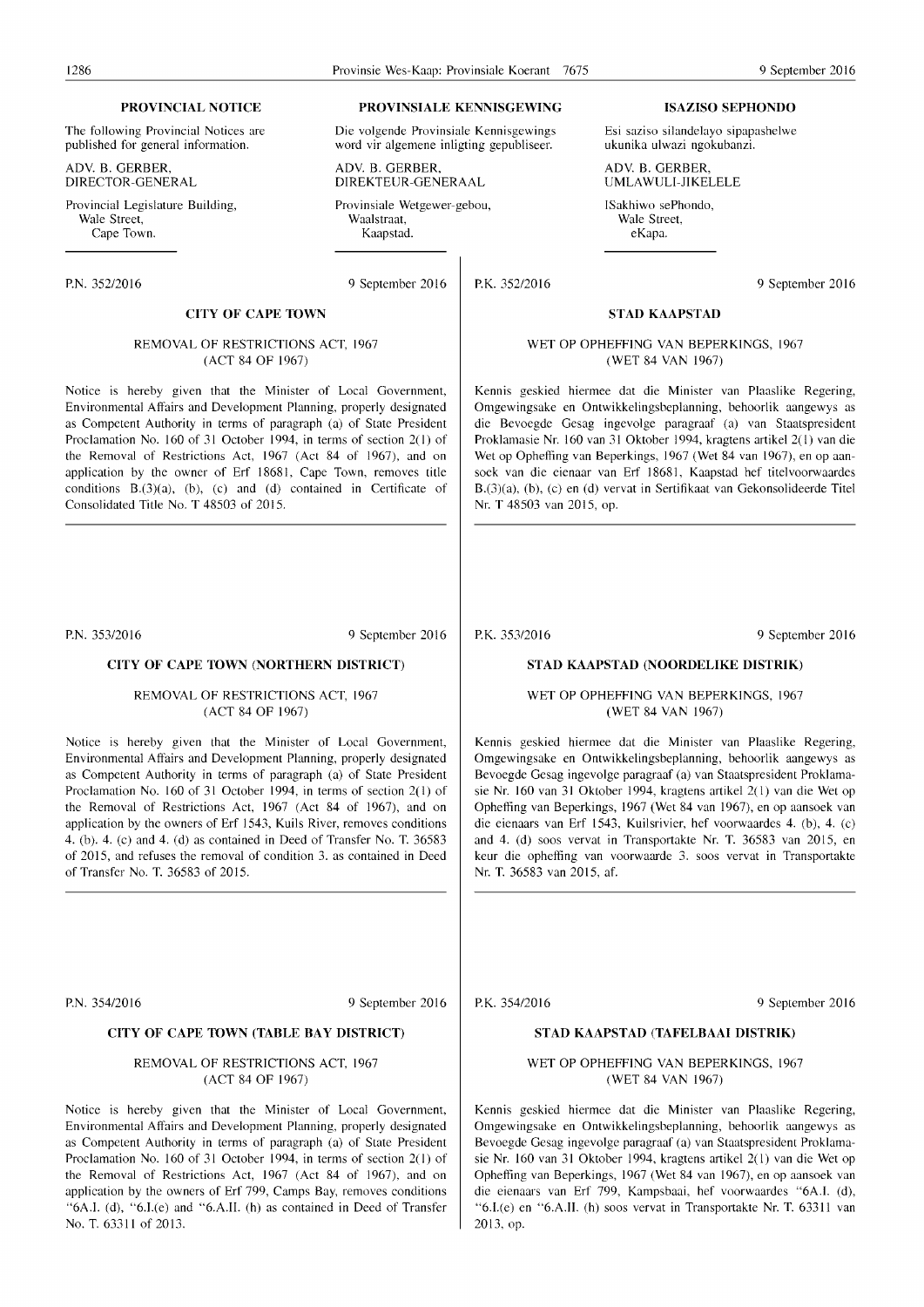The following Provincial Notices are published for general information.

ADY. B. GERBER, DIRECTOR-GENERAL

Provincial Legislature Building, Wale Street,<br>Cape Town.

#### **CITY OF CAPE TOWN**

#### REMOVAL OF RESTRICTIONS ACT, 1967 (ACT 84 OF 1967)

Notice is hereby given that the Minister of Local Government, Environmental Affairs and Development Planning, properly designated as Competent Authority in terms of paragraph (a) of State President Proclamation No. 160 of 31 October 1994, in terms of section 2(1) of the Removal of Restrictions Act, 1967 (Act 84 of 1967), and on application by the owner of Erf 18681, Cape Town, removes title conditions  $B(3)(a)$ , (b), (c) and (d) contained in Certificate of Consolidated Title No. T 48503 of 2015.

P.N. *353/2016* 9 September 2016

#### **CITY OF CAPE TOWN (NORTHERN DISTRICT)**

REMOVAL OF RESTRICTIONS ACT, 1967 (ACT 84 OF 1967)

Notice is hereby given that the Minister of Local Government, Environmental Affairs and Development Planning, properly designated as Competent Authority in terms of paragraph (a) of State President Proclamation No. 160 of 31 October 1994, in terms of section 2(1) of the Removal of Restrictions Act, 1967 (Act 84 of 1967), and on application by the owners of Erf 1543, Kuils River, removes conditions 4. (b). 4. (c) and 4. (d) as contained in Deed of Transfer No. T. 36583 of 2015, and refuses the removal of condition 3. as contained in Deed of Transfer No. T. 36583 of 2015.

**PROVINCIAL NOTICE PROVINSIALE KENNISGEWING ISAZISO SEPHONDO** 

Die volgende Provinsiale Kennisgewings word vir algemene inligting gepubliseer.

ADV. B. GERBER, DIREKTEUR-GENERAAL

Provinsiale Wetgewer-gebou, Waalstraat,<br>Kaapstad. Cape Town. Kaapstad. eKapa.

P.N. 352/2016 9 September 2016

P.K. 352/2016 9 September 2016

#### **STAD KAAPSTAD**

Esi saziso silandelayo sipapashelwe ukunika ulwazi ngokubanzi.

#### WET OP OPHEFFING VAN BEPERKINGS, 1967 (WET 84 VAN 1967)

ADY. B. GERBER, UMLAWULI-JIKELELE

ISakhiwo sePhondo, Wale Street,<br>eKapa.

Kennis geskied hiermee dat die Minister van Plaaslike Regering, Omgewingsake en Ontwikkelingsbeplanning, behoorlik aangewys as die Bevoegde Gesag ingevolge paragraaf (a) van Staatspresident Proklamasie Nr. 160 van 31 Oktober 1994, kragtens artikel 2(1) van die Wet op Opheffing van Beperkings, 1967 (Wet 84 van 1967), en op aansoek van die eienaar van Erf 18681, Kaapstad hef titelvoorwaardes B.(3)(a), (b), (c) en (d) vervat in Sertifikaat van Gekonsolideerde Titel Nr. T 48503 van 2015, op.

P.K. *353/2016* 9 September 2016

#### **STAD KAAPSTAD (NOORDELIKE DISTRIK)**

WET OP OPHEFFING VAN BEPERKINGS, 1967 (WET 84 VAN 1967)

Kennis geskied hiermee dat die Minister van Plaaslike Regering, Omgewingsake en Ontwikkelingsbeplanning, behoorlik aangewys as Bevoegde Gesag ingevolge paragraaf (a) van Staatspresident Proklamasie Nr. 160 van 31 Oktober 1994, kragtens artikel 2( I) van die Wet op Opheffing van Beperkings, 1967 (Wet 84 van 1967), en op aansoek van die eienaars van Erf 1543, Kuilsrivier, hef voorwaardes 4. (b), 4. (c) and 4. (d) soos vervat in Transportakte Nr. T. 36583 van 2015, en keur die opheffing van voorwaarde 3. soos vervat in Transportakte Nr. T. 36583 van 2015, af.

P.N. *354/2016* 9 September 2016

#### **CITY OF CAPE TOWN (TABLE BAY DISTRICT)**

#### REMOVAL OF RESTRICTIONS ACT, 1967 (ACT 84 OF 1967)

Notice is hereby given that the Minister of Local Government, Environmental Affairs and Development Planning, properly designated as Competent Authority in terms of paragraph (a) of State President Proclamation No. 160 of 31 October 1994, in terms of section 2(1) of the Removal of Restrictions Act, 1967 (Act 84 of 1967), and on application by the owners of Erf 799, Camps Bay, removes conditions "6A.1. (d), "6.I.(e) and "6.A.l1. (h) as contained in Deed of Transfer No. T. 63311 of 2013.

P.K. *35412016* 9 September 2016

#### **STAD KAAPSTAD (TAFELBAAI DISTRIK)**

#### WET OP OPHEFFING VAN BEPERKINGS, 1967 (WET 84 VAN 1967)

Kennis geskied hiermee dat die Minister van Plaaslike Regering, Omgewingsake en Ontwikkelingsbeplanning, behoorlik aangewys as Bevoegde Gesag ingevolge paragraaf (a) van Staatspresident Proklamasie Nr. 160 van 31 Oktober 1994, kragtens artikel 2(1) van die Wet op Ophefting van Beperkings, 1967 (Wet 84 van 1967), en op aansoek van die eienaars van Erf 799, Kampsbaai, hef voorwaardes "6A.1. (d), "6.I.(e) en "6.A.II. (h) soos vervat in Transportakte Nr. T. 63311 van 2013,op.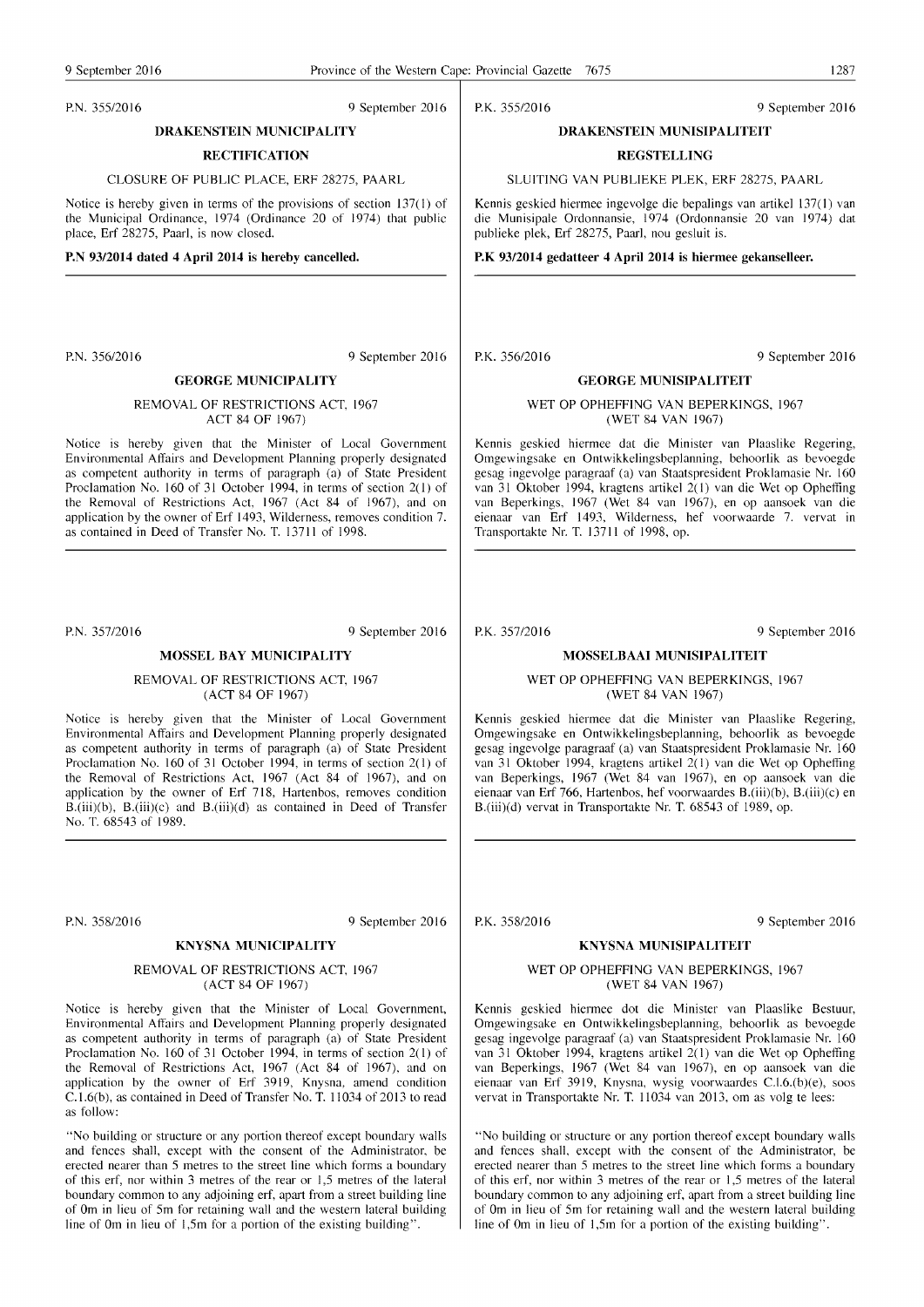#### P.N. 355/2016 9 September 2016

**DRAKENSTEIN MUNICIPALITY** 

#### **RECTIFICATION**

CLOSURE OF PUBLIC PLACE, ERF 28275, PAARL

Notice is hereby given in terms of the provisions of section 137(1) of the Municipal Ordimnce, 1974 (Ordinance 20 of 1974) that public place, Erf 28275, Paarl, is now closed.

#### **P.N 93/2014 dated 4 April 2014 is hereby cancelled.**

P.N. *356/2016* 9 September 2016

#### **GEORGE MUNICIPALITY**

REMOVAL OF RESTRICTIONS ACT, 1967 ACT 84 OF 1967)

Notice is hereby given that the Minister of Local Government Environmental Affairs and Development Planning properly designated as competent authority in terms of paragraph (a) of State President Proclamation No. 160 of 31 October 1994, in terms of section 2(1) of the Removal of Restrictions Act, 1967 (Act 84 of 1967), and on application by the owner of Erf 1493, Wilderness, removes condition 7. as contained in Deed of Transfer No. T. 13711 of 1998.

P.N. *357/2016* 9 September 2016

#### **MOSSEL BAY MUNICIPALITY**

REMOVAL OF RESTRICTIONS ACT, 1967 (ACT 84 OF 1967)

Notice is hereby given that the Minister of Local Government Environmental Affairs and Development Planning properly designated as competent authority in terms of paragraph (a) of State President Proclamation No. 160 of 31 October 1994, in terms of section  $2(1)$  of the Removal of Restrictions Act, 1967 (Act 84 of 1967), and on application by the owner of Erf 718, Hartenbos, removes condition  $B.(\text{iii})(b)$ ,  $B.(\text{iii})(c)$  and  $B.(\text{iii})(d)$  as contained in Deed of Transfer No. T. 68543 of 1989.

P.N. *358/2016* 9 September 2016

#### **KNYSNA MUNICIPALITY**

#### REMOVAL OF RESTRICTIONS ACT, 1967 (ACT 84 OF 1967)

Notice is hereby given that the Minister of Local Government, Environmental Affairs and Development Planning properly designated as competent authority in terms of paragraph (a) of State President Proclamation No. 160 of 31 October 1994, in terms of section  $2(1)$  of the Removal of Restrictions Act, 1967 (Act 84 of 1967), and on application by the owner of Erf 3919, Knysna, amend condition C.1.6(b), as contained in Deed of Transfer No. T. 11034 of 2013 to read as follow:

"No building or structure or any portion thereof except boundary walls and fences shall, except with the consent of the Administrator, be erected nearer than 5 metres to the street line which forms a boundary of this erf, nor within 3 metres of the rear or 1,5 metres of the lateral boundary common to any adjoining erf, apart from a street building line of 0m in lieu of 5m for retaining wall and the western lateral building line of 0m in lieu of  $1,5m$  for a portion of the existing building".

P.K. 355/2016 9 September 2016

#### **DRAKENSTEIN MUNISIPALITEIT**

### **REGSTELLING**

SLUITING VAN PUBLIEKE PLEK, ERF 28275, PAARL

Kennis geskied hiermee ingevolge die bepalings van artikel 137(1) van die Munisipale Ordonnansie, 1974 (Ordonnansie 20 van 1974) dat publieke plek, Erf 28275, Paarl, nou gesluit is.

#### **P.K 93/2014 gedatteer 4 April 2014 is hiermee gekanselleer.**

P.K. *356/2016* 9 September 2016

#### **GEORGE MUNISIPALITEIT**

#### WET OP OPHEFFING VAN BEPERKINGS, 1967 (WET 84 VAN 1967)

Kennis geskied hiermee dat die Minister van Plaaslike Regering, Omgewingsake en Ontwikkelingsbeplanning, behoorlik as bevoegde gesag ingevolge paragraaf (a) van Staatspresident Proklamasie Nr. 160 van 31 Oktober 1994, kragtens artikel 2(1) van die Wet op Opheffing van Beperkings, 1967 (Wet 84 van 1967), en op aansoek van die eienaar van Erf 1493, Wilderness, hef voorwaarde 7. vervat in Transportakte Nr. T. 13711 of 1998, op.

P.K. *357/2016* 9 September 2016

#### **MOSSELBAAI MUNISIPALITEIT**

#### WET OP OPHEFFING VAN BEPERKINGS, 1967 (WET 84 VAN 1967)

Kennis geskied hiermee dat die Minister van Plaaslike Regering, Omgewingsake en Ontwikkelingsbeplanning, behoorlik as bevoegde gesag ingevolge paragraaf (a) van Staatspresident Proklamasie Nr. 160 van 31 Oktober 1994, kragtens artikel 2(1) van die Wet op Opheffing van Beperkings, 1967 (Wet 84 van 1967), en op aansoek van die eienaar van Erf 766, Hartenbos, hef voorwaardes B.(iii)(b), B.(iii)(c) en B.(iii)(d) vervat in Transportakte Nr. T. 68543 of 1989, op.

#### **KNYSNA MUNISIPALITEIT**

#### WET OP OPHEFFING VAN BEPERKINGS, 1967 (WET 84 VAN 1967)

Kennis geskied hiermee dot die Minister van Plaaslike Bestuur, Omgewingsake en Ontwikkelingsbeplanning, behoorlik as bevoegde gesag ingevolge paragraaf (a) van Staatspresident Proklamasie Nr. 160 van 31 Oktober 1994, kragtens artikel 2(1) van die Wet op Opheffing van Beperkings, 1967 (Wet 84 van 1967), en op aansoek van die eienaar van Erf 3919, Knysna, wysig voorwaardes C.1.6.(b)(e), soos vervat in Transportakte Nr. **T. 11034** van 2013, om as volg te lees:

"No building or structure or any portion thereof except boundary walls and fences shall, except with the consent of the Administrator, be erected nearer than 5 metres to the street line which forms a boundary of this erf, nor within 3 metres of the rear or 1,5 metres of the lateral boundary common to any adjoining erf, apart from a street building line of 0m in lieu of 5m for retaining wall and the western lateral building line of 0m in lieu of 1,5m for a portion of the existing building".

P.K. *358/2016* 9 September 2016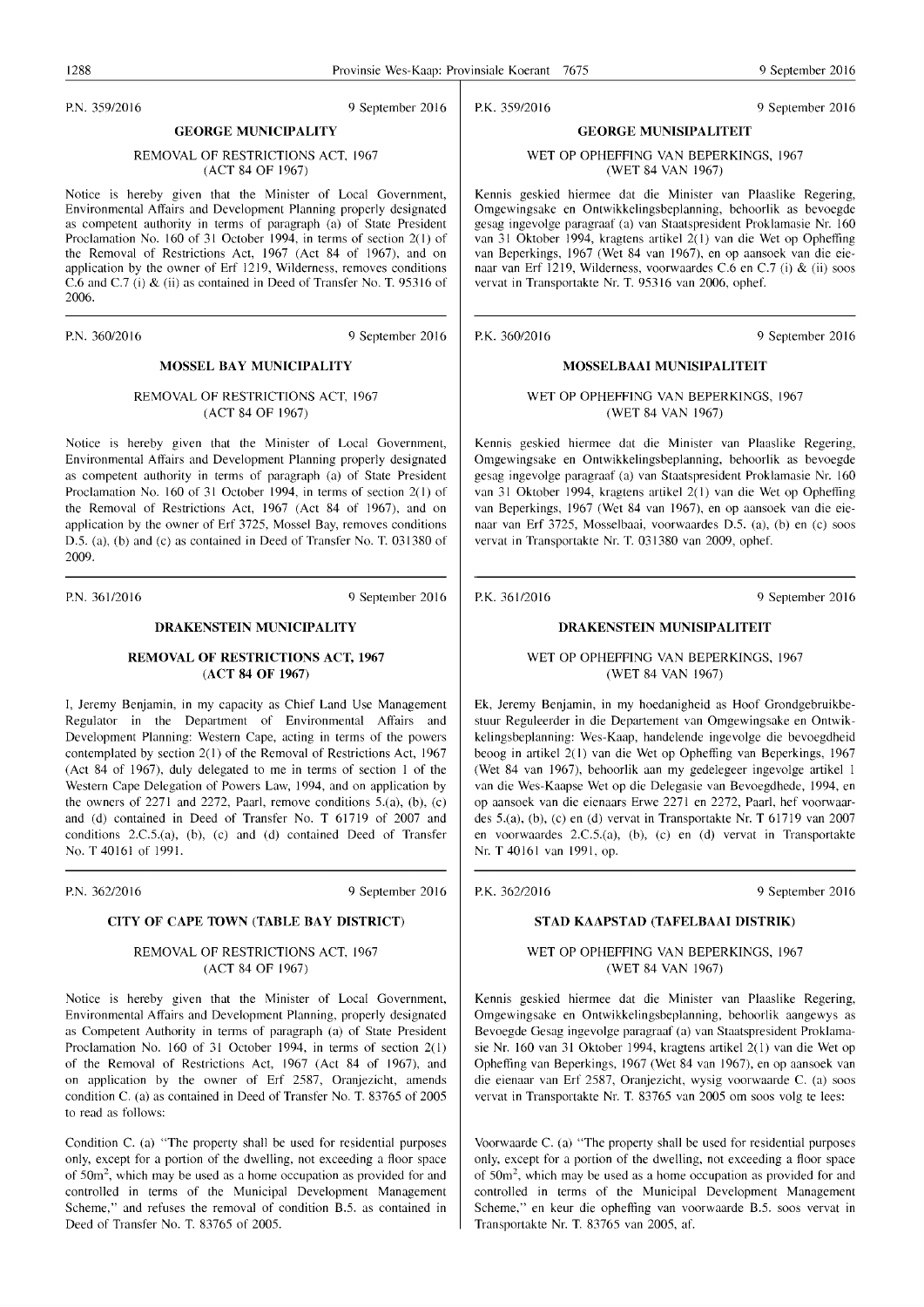P.N. 359/2016 9 September 2016

P.K. 359/2016 9 September 2016

#### GEORGE MUNISIPALITEIT WET OP OPHEFFING VAN BEPERKINGS, 1967 (WET 84 VAN 1967)

Kennis geskied hiermee dat die Minister van Plaaslike Regering, Omgewingsake en Ontwikkelingsbeplanning, behoorlik as bevoegde gesag ingevolge paragraaf (a) van Staatspresident Proklamasie Nr. 160 van 31 Oktober 1994, kragtens artikel 2( I) van die Wet op Opheffing van Beperkings, 1967 (Wet 84 van 1967), en op aansoek van die eienaar van Erf 1219, Wilderness, voorwaardes C.6 en C.7 (i) & (ii) soos vervat in Transportakte Nr. T. 95316 van 2006, ophef.

P.K. 360/2016 9 September 2016

#### MOSSELBAAI MUNISIPALITEIT

WET OP OPHEFFING VAN BEPERKINGS, 1967 (WET 84 VAN 1967)

Kennis geskied hiermee dat die Minister van Plaaslike Regering, Omgewingsake en Ontwikkelingsbeplanning, behoorlik as bevoegde gesag ingevolge paragraaf (a) van Staatspresident Proklamasie Nr. 160 van 31 Oktober 1994, kragtens artikel 2(1) van die Wet op Opheffing van Beperkings, 1967 (Wet 84 van 1967), en op aansoek van die eienaar van Erf 3725, Mosselbaai, voorwaardes 0.5. (a), (b) en (c) soos vervat in Transportakte Nr. T. 031380 van 2009, ophef.

P.K. 361/2016 9 September 2016

#### DRAKENSTEIN MUNISIPALITEIT

#### WET OP OPHEFFING VAN BEPERKINGS, 1967 (WET 84 VAN 1967)

Ek, Jeremy Benjamin, in my hoedanigheid as Hoof Grondgebruikbestuur Reguleerder in die Departement van Omgewingsake en Ontwikkelingsbeplanning: Wes-Kaap, handelende ingevolge die bevoegdheid beoog in artikel 2( I) van die Wet op Opheffing van Beperkings, 1967 (Wet 84 van 1967), behoorlik aan my gedelegeer ingevolge artikel I van die Wes-Kaapse Wet op die Delegasie van Bevoegdhede, 1994, en op aansoek van die eienaars Erwe 2271 en 2272, Paarl, hef voorwaardes 5.(a), (b), (c) en (d) vervat in Transportakte Nr. T 61719 van 2007 en voorwaardes 2.C.5.(a), (b), (c) en (d) vervat in Transportakte Nr. T 40161 van 1991, op.

P.K. 362/2016 9 September 2016

#### STAD KAAPSTAD (TAFELBAAI DISTRIK)

#### WET OP OPHEFFING VAN BEPERKINGS, 1967 (WET 84 VAN 1967)

Kennis geskied hiermee dat die Minister van Plaaslike Regering, Omgewingsake en Ontwikkelingsbeplanning, behoorlik aangewys as Bevoegde Gesag ingevolge paragraaf (a) van Staatspresident Proklamasie Nr. 160 van 31 Oktober 1994, kragtens artikel  $2(1)$  van die Wet op Opheffing van Beperkings, 1967 (Wet 84 van 1967), en op aansoek van die eienaar van Erf 2587, Oranjezicht, wysig voorwaarde C. (a) soos vervat in Transportakte Nr. T. 83765 van 2005 om soos volg te lees:

Voorwaarde C. (a) "The property shall be used for residential purposes only, except for a portion of the dwelling, not exceeding a floor space of 50m<sup>2</sup>, which may be used as a home occupation as provided for and controlled in terms of the Municipal Development Management Scheme," en keur die opheffing van voorwaarde B.5. soos vervat in Transportakte Nr. T. 83765 van 2005, af.

#### Notice is hereby given that the Minister of Local Government, Environmental Affairs and Development Planning properly designated as competent authority in terms of paragraph (a) of State President

GEORGE MUNICIPALITY REMOVAL OF RESTRICTIONS ACT. 1967 (ACT 84 OF 1967)

Proclamation No. 160 of 31 October 1994, in terms of section 2(1) of the Removal of Restrictions Act, 1967 (Act 84 of 1967), and on application by the owner of Erf 1219, Wilderness, removes conditions C.6 and C.7 (i) & (ii) as contained in Deed of Transfer No. T. 95316 of 2006.

P.N. 360/2016 9 September 2016

#### MOSSEL BAY MUNICIPALITY

#### REMOVAL OF RESTRICTIONS ACT, 1967 (ACT 84 OF 1967)

Notice is hereby given that the Minister of Local Government, Environmental Affairs and Development Planning properly designated as competent authority in terms of paragraph (a) of State President Proclamation No. 160 of 31 October 1994, in terms of section 2(1) of the Removal of Restrictions Act, 1967 (Act 84 of 1967), and on application by the owner of Erf 3725, Mossel Bay, removes conditions 0.5. (a), (b) and (c) as contained in Deed of Transfer No. T. 031380 of 2009.

P.N. 361/2016 9 September 2016

#### DRAKENSTEIN MUNICIPALITY

#### REMOVAL OF RESTRICTIONS ACT, 1967 (ACT 84 OF 1967)

I, Jeremy Benjamin, in my capacity as Chief Land Use Management Regulator in the Department of Environmental Affairs and Development Planning: Western Cape, acting in terms of the powers contemplated by section 2(1) of the Removal of Restrictions Act, 1967 (Act 84 of 1967), duly delegated to me in terms of section I of the Western Cape Delegation of Powers Law, 1994, and on application by the owners of 2271 and 2272, Paarl, remove conditions 5.(a), (b), (c) and (d) contained in Deed of Transfer No. T 61719 of 2007 and conditions 2.C.5.(a), (b), (c) and (d) contained Deed of Transfer No. T 40161 of 1991.

P.N. 362/2016 9 September 2016

#### CITY OF CAPE TOWN (TABLE BAY DISTRICT)

#### REMOVAL OF RESTRICTIONS ACT, 1967 (ACT 84 OF 1967)

Notice is hereby given that the Minister of Local Government, Environmental Affairs and Development Planning, properly designated as Competent Authority in terms of paragraph (a) of State President Proclamation No. 160 of 31 October 1994, in terms of section 2(1) of the Removal of Restrictions Act, 1967 (Act 84 of 1967), and on application by the owner of Erf 2587, Oranjezicht, amends condition C. (a) as contained in Deed of Transfer No. T. 83765 of 2005 to read as follows:

Condition C. (a) "The property shall be used for residential purposes only, except for a portion of the dwelling, not exceeding a floor space of  $50m^2$ , which may be used as a home occupation as provided for and controlled in terms of the Municipal Development Management Scheme," and refuses the removal of condition B.5. as contained in Deed of Transfer No. T. 83765 of 2005.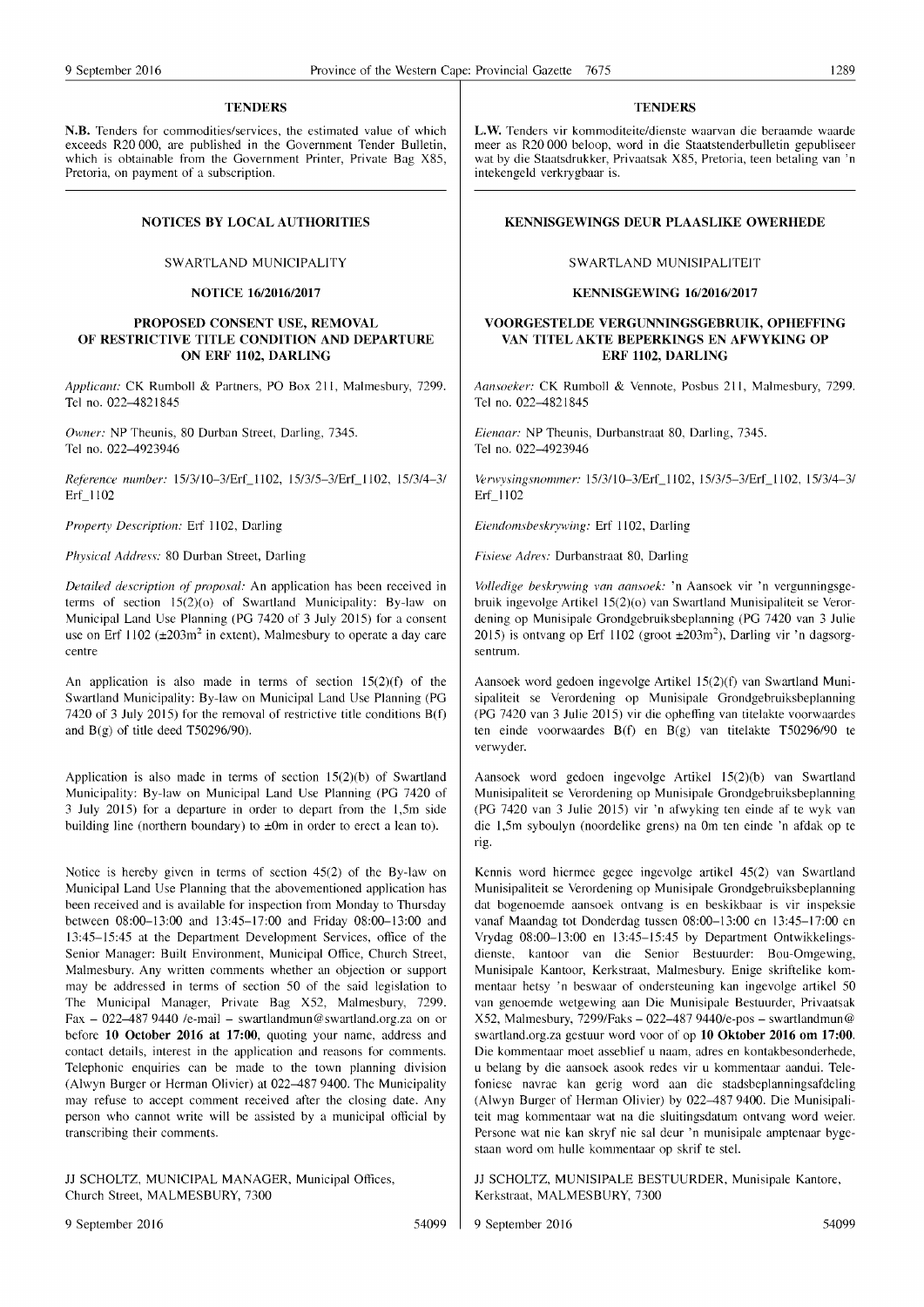#### **TENDERS**

N.B. Tenders for commodities/services, the estimated value of which exceeds R20000, me published in the Government Tender Bulletin, which is obtainable from the Government Printer, Private Bag X85, Pretoria, on payment of a subscription.

#### NOTICES BY LOCAL AUTHORITIES

#### SWARTLAND MUNICIPALITY

#### NOTICE 16/2016/2017

#### PROPOSED CONSENT USE, REMOVAL OF RESTRICTIVE TITLE CONDITION AND DEPARTURE ON ERF 1102, DARLING

*Applicant: CK Rumboll & Partners, PO Box 211, Malmesbury, 7299.* Tel no. 022-4821845

*Owner:* NP Theunis, 80 Durban Street, Darling, 7345. Tel no. 022-4923946

*Reference number:* I 5/3/1 0-3/ErL I 102, 15/3/5-3/ErLlI02, 15/3/4-3/ Erf\_1102

*Property Description: Erf 1102, Darling* 

*Physical Address:* 80 Durban Street, Darling

*Detailed description of proposal:* An application has been received in terms of section  $15(2)(o)$  of Swartland Municipality: By-law on Municipal Land Use Planning (PG 7420 of 3 July 2015) for a consent use on Erf  $1102 \, (\pm 203 \, \text{m}^2)$  in extent), Malmesbury to operate a day care centre

An application is also made in terms of section  $15(2)(f)$  of the Swartland Municipality: By-law on Municipal Land Use Planning (PG 7420 of 3 July 2015) for the removal of restrictive title conditions B(t) and  $B(g)$  of title deed T50296/90).

Application is also made in terms of section  $15(2)(b)$  of Swartland Municipality: By-law on Municipal Land Use Planning (PG 7420 of 3 July 2015) for a depmture in order to depart from the 1,5m side building line (northern boundary) to  $\pm 0$ m in order to erect a lean to).

Notice is hereby given in terms of section 45(2) of the By-law on Municipal Land Use Planning that the abovementioned application has been received and is available for inspection from Monday to Thursday between 08:00-13:00 and 13:45-17:00 and Friday 08:00-13:00 and 13:45-15:45 at the Department Development Services, office of the Senior Manager: Built Environment, Municipal Office, Church Street, Malmesbury. Any written comments whether an objection or support may be addressed in terms of section 50 of the said legislation to The Municipal Manager, Private Bag X52, Malmesbury, 7299. Fax - 022-487 9440 /e-mail - swartlandmun@swartland.org.za on or before 10 October 2016 at 17:00, quoting your name, address and contact details, interest in the application and reasons for comments. Telephonic enquiries can be made to the town planning division (Alwyn Burger or Herman Olivier) at 022-487 9400. The Municipality may refuse to accept comment received after the closing date. Any person who cannot write will be assisted by a municipal ofticial by transcribing their comments.

JJ SCHOLTZ, MUNICIPAL MANAGER, Municipal Offices, Church Street, MALMESBURY, 7300

#### **TENDERS**

L.W. Tenders vir kommoditeite/dienste waarvan die beraamde waarde meer as R20000 beloop, word in die Staatstenderbulletin gepubliseer wat by die Staatsdrukker, Privaatsak X85, Pretoria, teen betaling van 'n intekengeld verkrygbaar is.

#### KENNISGEWINGS DEUR PLAASLIKE OWERHEDE

#### SWARTLAND MUNISIPALITEIT

#### KENNISGEWING 16/2016/2017

#### VOORGESTELDE VERGUNNINGSGEBRUIK, OPHEFFING VAN TITELAKTE BEPERKINGS EN AFWYKING OP ERF 1102, DARLING

*Aansoeker:* CK Rumboll & Vennote, Posbus 211, Malmesbury, 7299. Tel no. 022-4821845

*Eienaar: NP Theunis, Durbanstraat 80, Darling, 7345.* Tel no. 022-4923946

Verwysingsnommer: 15/3/10-3/Erf\_1102, 15/3/5-3/Erf\_1102, 15/3/4-3/ Erf\_1102

*Eiendomsbeskrywing: Erf 1102, Darling* 

*Fisiese Adres:* Durbanstraat 80, Darling

*Volledige beskrywing van aansoek:* 'n Aansoek vir 'n vergunningsgebruik ingevolge Artikel 15(2)(0) van Swartland Munisipaliteit se Verordening op Munisipale Grondgebruiksbeplanning (PG 7420 van 3 Julie 2015) is ontvang op Erf 1102 (groot  $\pm 203$ m<sup>2</sup>), Darling vir 'n dagsorgsentrum.

Aansoek word gedoen ingevolge Artikel 15(2)(f) van Swartland Munisipaliteit se Verordening op Munisipale Grondgebruiksbeplanning (PG 7420 van 3 Julie 2015) vir die opheffing van titelakte voorwaardes ten einde voorwaardes B(t) en B(g) van titelakte T50296/90 te verwyder.

Aansoek word gedoen ingevolge Artikel 15(2)(b) van Swartland Munisipaliteit se Verordening op Munisipale Grondgebruiksbeplanning (PG 7420 van 3 Julie 2015) vir 'n afwyking ten einde af te wyk van die 1,5m syboulyn (noordelike grens) na Om ten einde 'n afdak op te rig.

Kennis word hiermee gegee ingevolge artikel 45(2) van Swartland Munisipaliteit se Verordening op Munisipale Grondgebruiksbeplanning dat bogenoemde aansoek ontvang is en beskikbaar is vir inspeksie vanaf Maandag tot Donderdag tussen 08:00-13:00 en 13:45-17:00 en Vrydag 08:00-13:00 en 13:45-15:45 by Depmtment Ontwikkelingsdienste, kantoor van die Senior Bestuurder: Bou-Omgewing, Munisipale Kantoor, Kerkstraat, Malmesbury. Enige skriftelike kommentaar hetsy 'n beswaar of ondersteuning kan ingevolge artikel 50 van genoemde wetgewing aan Die Munisipale Bestuurder, Privaatsak X52, Malmesbury, 7299/Faks - 022-487 9440/e-pos - swartlandmun@ swartland.org.za gestuur word voor of op 10 Oktober 2016 om 17:00. Die kommentaar moet asseblief u naam, adres en kontakbesonderhede, u belang by die aansoek asook redes vir u kommentam aandui. Telefoniese navrae kan gerig word aan die stadsbeplanningsafdeling (Alwyn Burger of Herman Olivier) by 022-4879400. Die Munisipaliteit mag kommentaar wat na die sluitingsdatum ontvang word weier. Persone wat nie kan skryf nie sal deur 'n munisipale amptenaar bygestaan word om hulle kommentaar op skrif te stel.

JJ SCHOLTZ, MUNISIPALE BESTUURDER, Munisipale Kantore, Kerkstraat, MALMESBURY, 7300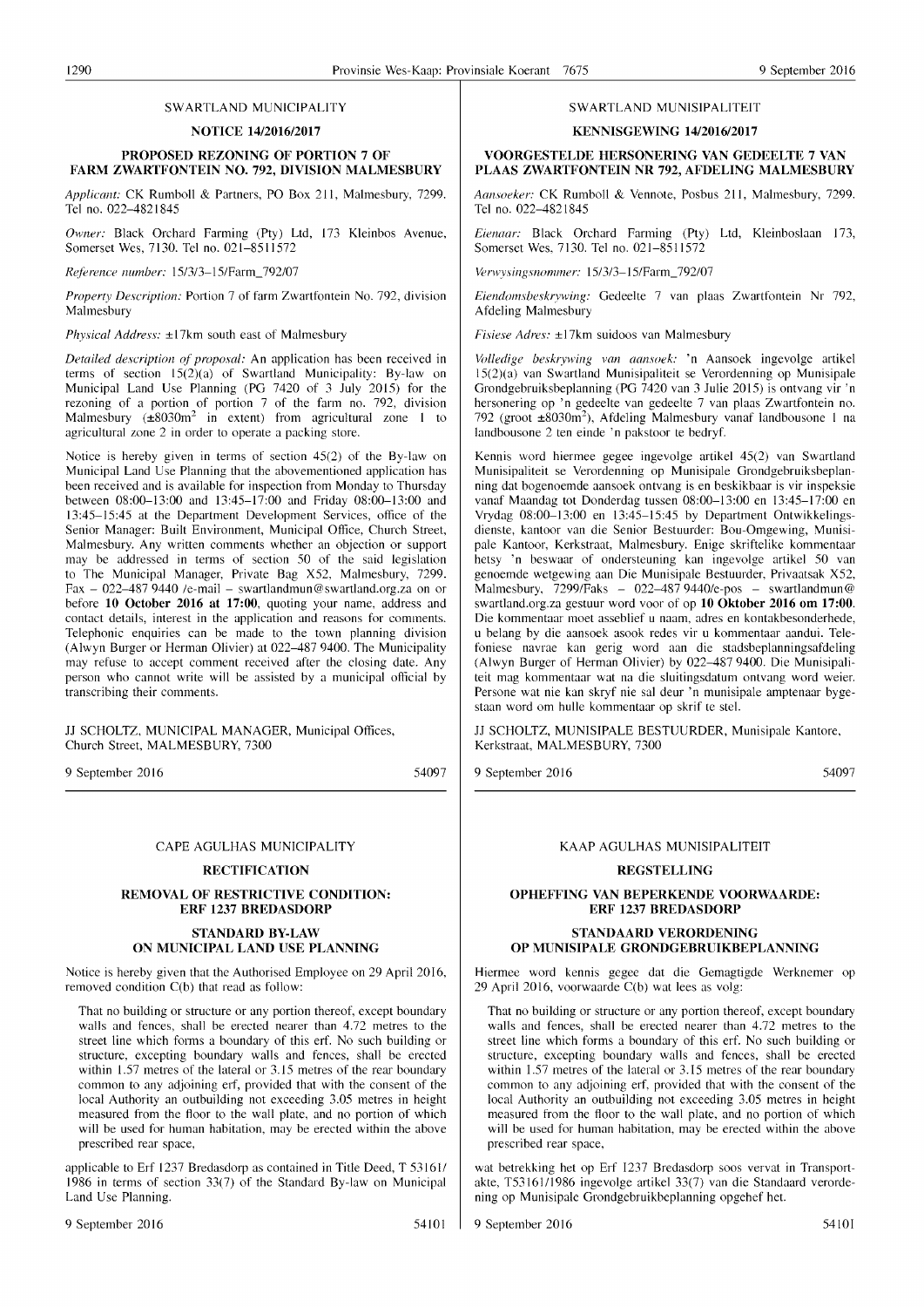#### SWARTLAND MUNICIPALITY

#### **NOTICE 14/2016/2017**

#### **PROPOSED REZONING OF PORTION 7 OF FARM ZWARTFONTEIN NO. 792, DIVISION MALMESBURY**

*Applicant:* CK Rumboll & Partners, PO Box 211, Malmesbury, 7299. Tel no. 022-4821845

*Owner:* Black Orchard Farming (Pty) Ltd, 173 Kleinbos Avenue, Somerset Wes, 7130. Tel no. 021-8511572

*Reference number:* 15/3/3-15/Farm\_792/07

*Property Description:* Portion 7 of farm Zwartfontein No. 792, division Malmesbury

*Physical Address:* ±17km south east of Malmesbury

*Detailed description of proposal:* An application has been received in terms of section  $15(2)(a)$  of Swartland Municipality: By-law on Municipal Land Use Planning (PG 7420 of 3 July 2015) for the rezoning of a portion of portion 7 of the farm no. 792, division Malmesbury ( $\pm 8030 \text{m}^2$  in extent) from agricultural zone 1 to agricultural zone 2 in order to operate a packing store.

Notice is hereby given in terms of section 45(2) of the By-law on Municipal Land Use Planning that the abovementioned application has been received and is available for inspection from Monday to Thursday between 08:00-13:00 and 13:45-17:00 and Friday 08:00-13:00 and 13:45-15:45 at the Department Development Services, office of the Senior Manager: Built Environment, Municipal Office, Church Street, Malmesbury. Any written comments whether an objection or support may be addressed in terms of section 50 of the said legislation to The Municipal Manager, Private Bag X52, Malmesbury, 7299. Fax  $-$  022-487 9440 /e-mail - swartlandmun@swartland.org.za on or before **10 October 2016 at 17:00,** quoting your name, address and contact details, interest in the application and reasons for comments. Telephonic enquiries can be made to the town planning division (Alwyn Burger or Herman Olivier) at 022-487 9400. The Municipality may refuse to accept comment received after the closing date. Any person who cannot write will be assisted by a municipal official by transcribing their comments.

11 SCHOLTZ, MUNICIPAL MANAGER, Municipal Offices, Church Street, MALMESBURY, 7300

9 September 2016

54097

#### CAPE AGULHAS MUNICIPALITY

#### **RECTIFICATION**

#### **REMOVAL OF RESTRICTIVE CONDITION: ERF 1237 BREDASDORP**

#### **STANDARD BY-LAW ON MUNICIPAL LAND USE PLANNING**

Notice is hereby given that the Authorised Employee on 29 April 2016, removed condition C(b) that read as follow:

That no building or structure or any portion thereof, except boundary walls and fences, shall be erected nearer than 4.72 metres to the street line which forms a boundary of this erf. No such building or structure, excepting boundary walls and fences, shall be erected within  $1.57$  metres of the lateral or  $3.15$  metres of the rear boundary common to any adjoining erf, provided that with the consent of the local Authority an outbuilding not exceeding 3.05 metres in height measured from the floor to the wall plate, and no portion of which will be used for human habitation, may be erected within the above prescribed rear space,

applicable to Erf 1237 Bredasdorp as contained in Title Deed, T 53161/ 1986 in terms of section 33(7) of the Standard By-law on Municipal Land Use Planning.

#### SWARTLAND MUNISIPALITEIT

#### **KENNISGEWING 14/2016/2017**

#### **VOORGESTELDE HERSONERING VAN GEDEELTE 7 VAN PLAAS ZWARTFONTEIN NR 792, AFDELING MALMESBURY**

*Aansoeker:* CK Rumboll & Vennote, Posbus 211, Malmesbury, 7299. Tel no. 022-4821845

*Eienaar:* Black Orchard Farming (Pty) Ltd, Kleinboslaan 173, Somerset Wes, 7130. Tel no. 021-8511572

*Verwysingsnommer:* 15/3/3-15/Farm\_792/07

*Eiendol1lsbeskrvwing:* Gedeelte 7 van plaas Zwartfontein Nr 792, Afdeling Malmesbury

*Fisiese Adres:* ±17km suidoos van Malmesbury

*Volledige beskrywing van aansoek:* 'n Aansoek ingevolge artikel 15(2)(a) van Swartland Munisipaliteit se Verordenning op Munisipale Grondgebruiksbeplanning (PG 7420 van 3 Julie 2015) is ontvang vir 'n hersonering op 'n gedeelte van gedeelte 7 van plaas Zwartfontein no. 792 (groot ±8030m<sup>2</sup>), Afdeling Malmesbury vanaf landbousone 1 na landbousone 2 ten einde 'n pakstoor te bedryf.

Kennis word hiermee gegee ingevolge artikel 45(2) van Swartland Munisipaliteit se Verordenning op Munisipale Grondgebruiksbeplanning dat bogenoemde aansoek ontvang is en beskikbaar is vir inspeksie vanaf Maandag tot Donderdag tussen 08:00-13:00 en 13:45-17:00 en Vrydag 08:00-13:00 en 13:45-15:45 by Department Ontwikkelingsdienste, kantoor van die Senior Bestuurder: Bou-Omgewing, Munisipale Kantoor, Kerkstraat, Malmesbury. Enige skriftelike kommentaar hetsy 'n beswaar of ondersteuning kan ingevolge artikel 50 van genoemde wetgewing aan Die Munisipale Bestuurder, Privaatsak X52, Malmesbury, 7299/Faks - 022-487 9440/e-pos - swartlandmun@ swartland.org.za gestuur word voor of op 10 Oktober 2016 om 17:00. Die kommentaar moet asseblief u naam, adres en kontakbesonderhede, u belang by die aansoek asook redes vir u kommentaar aandui. Telefoniese navrae kan gerig word aan die stadsbeplanningsafdeling (Alwyn Burger of Herman Olivier) by 022-4879400. Die Munisipaliteit mag kommentaar wat na die sluitingsdatum ontvang word weier. Persone wat nie kan skryf nie sal deur 'n munisipale amptenaar bygestaan word om hulle kommentaar op skrif te stel.

11 SCHOLTZ, MUNISIPALE BESTUURDER, Munisipale Kantore, Kerkstraat, MALMESBURY, 7300

9 September 2016

54097

#### KAAP AGULHAS MUNISIPALITEIT

#### **REGSTELLING**

#### **OPHEFFING VAN BEPERKENDE VOORWAARDE: ERF 1237 BREDASDORP**

#### **STANDAARD VERORDENING OP MUNISIPALE GRONDGEBRUIKBEPLANNING**

Hiermee word kennis gegee dat die Gemagtigde Werknemer op 29 April 2016, voorwaarde C(b) wat lees as volg:

That no building or structure or any portion thereof, except boundary walls and fences, shall be erected nearer than 4.72 metres to the street line which forms a boundary of this erf. No such building or structure, excepting boundary walls and fences, shall be erected within  $1.57$  metres of the lateral or  $3.15$  metres of the rear boundary common to any adjoining erf, provided that with the consent of the local Authority an outbuilding not exceeding 3.05 metres in height measured from the floor to the wall plate, and no portion of which will be used for human habitation, may be erected within the above prescribed rear space,

wat betrekking het op Erf 1237 Bredasdorp soos vervat in Transportakte, T53161/1986 ingevolge artikel 33(7) van die Standaard verordening op Munisipale Grondgebruikbeplanning opgehef het.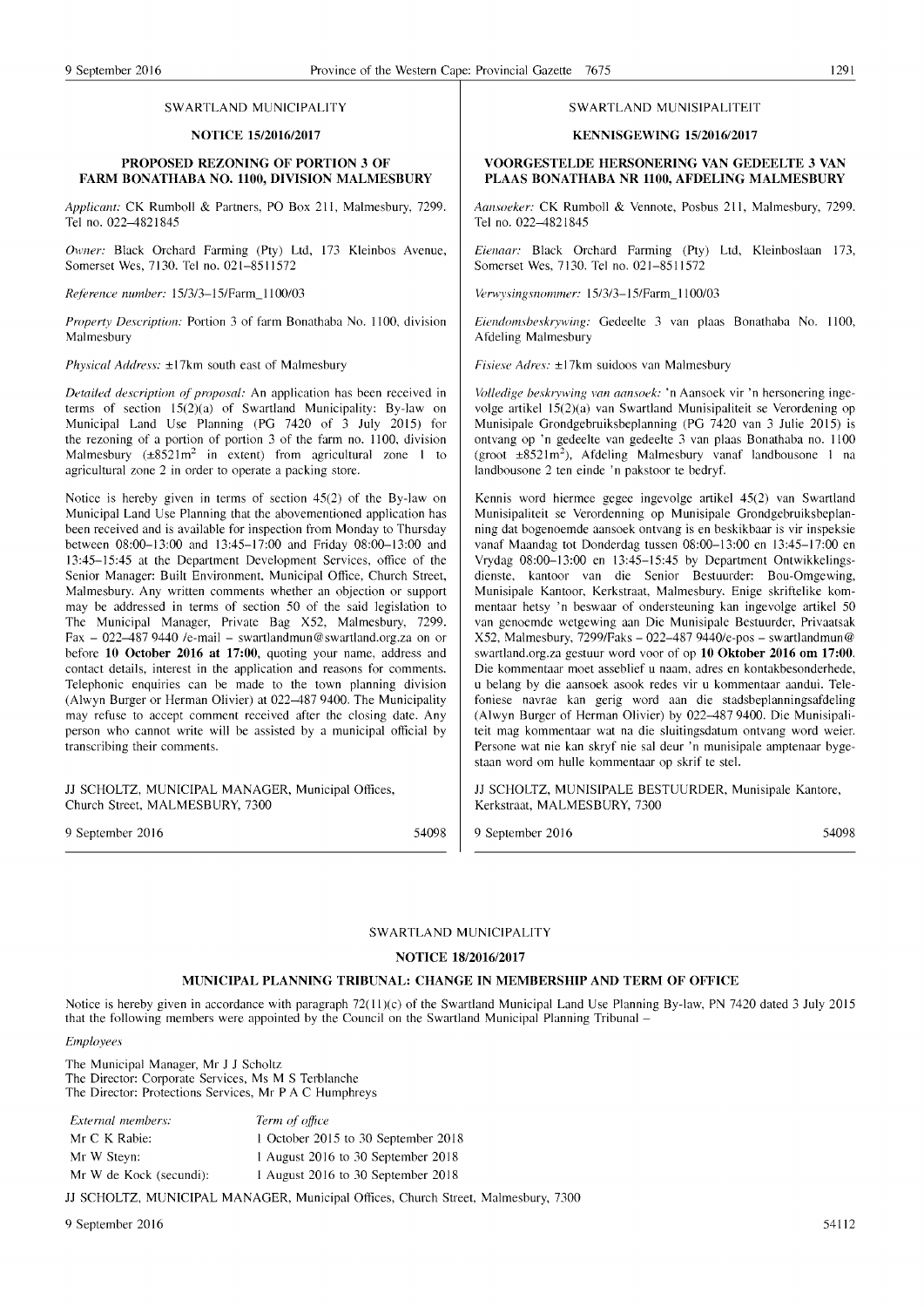#### SWARTLAND MUNICIPALITY

#### NOTICE *15/2016/2017*

#### PROPOSED REZONING OF PORTION 3 OF FARM BONATHABA NO. 1100, DIVISION MALMESBURY

Applicant: CK Rumboll & Partners, PO Box 211, Malmesbury, 7299. Tel no. 022-4821845

Owner: Black Orchard Farming (Pty) Ltd, 173 Kleinbos Avenue, Somerset Wes, 7130. Tel no. 021-8511572

*Reference number:* 15/3/3-15/Farm 1100/03

*Property Description: Portion 3 of farm Bonathaba No. 1100, division* Malmesbury

*Physical Address:* ±17km south east of Malmesbury

*Detailed description of proposal:* An application has been received in terms of section  $15(2)(a)$  of Swartland Municipality: By-law on Municipal Land Use Planning (PG  $7420$  of  $3$  July  $2015$ ) for the rezoning of a portion of portion 3 of the farm no. 1100, division Malmesbury  $(\pm 8521 \text{m}^2$  in extent) from agricultural zone 1 to agricultural zone 2 in order to operate a packing store.

Notice is hereby given in terms of section 45(2) of the By-law on Municipal Land Use Planning that the abovementioned application has been received and is available for inspection from Monday to Thursday between 08:00-13:00 and 13:45-17:00 and Friday 08:00-13:00 and 13:45-15:45 at the Department Development Services, office of the Senior Mamger: Built Environment, Municipal Office, Church Street, Malmesbury. Any written comments whether an objection or support may be addressed in terms of section 50 of the said legislation to The Municipal Manager, Private Bag X52, Malmesbury, 7299. Fax - 022-487 9440 /e-mail - swartlandmun@swartland.org.za on or before 10 October 2016 at 17:00, quoting your name, address and contact details, interest in the application and reasons for comments. Telephonic enquiries can be made to the town planning division (Alwyn Burger or Herman Olivier) at 022-487 9400. The Municipality may refuse to accept comment received after the closing date. Any person who cannot write will be assisted by a municipal official by transcribing their comments.

JJ SCHOLTZ, MUNICIPAL MANAGER, Municipal Offices, Church Street, MALMESBURY, 7300

9 September 2016 54098

#### SW ARTLAND MUNISIPALlTEIT

#### KENNISGEWING *15/2016/2017*

#### VOORGESTELDE HERSONERING VAN GEDEELTE 3 VAN PLAAS BONATHABA NR 1100, AFDELING MALMESBURY

Aansoeker: CK Rumboll & Vennote, Posbus 211, Malmesbury, 7299. Tel no. 022-4821845

*Eienaar:* Black Orchard Farming (Pty) Ltd, Kleinboslaan 173, Somerset Wes, 7130. Tel no. 021-8511572

*Verwysingsnommer:* 15/3/3-15/Farm 1100/03

*Eiendomsbeskrywing:* Gedeelte 3 van plaas Bonathaba No. 1100, Afdeling Malmesbury

*Fisiese Adres:* ±17km suidoos van Malmesbury

*Volledige beskrywing van aansoek:* 'n Aansoek vir 'n hersonering ingevolge artikel  $15(2)(a)$  van Swartland Munisipaliteit se Verordening op Munisipale Grondgebruiksbeplanning (PG  $7420$  van 3 Julie 2015) is ontvang op 'n gedeelte van gedeelte 3 van plaas Bonathaba no. 1100 (groot  $\pm 8521 \text{ m}^2$ ), Afdeling Malmesbury vanaf landbousone 1 na landbousone 2 ten einde 'n pakstoor te bedryf.

Kennis word hiermee gegee ingevolge artikel 45(2) van Swartland Munisipaliteit se Verordenning op Munisipale Grondgebruiksbeplanning dat bogenoemde aansoek ontvang is en beskikbaar is vir inspeksie vanaf Maandag tot Donderdag tussen 08:00-13:00 en 13:45-17:00 en Vrydag 08:00-13:00 en 13:45-15:45 by Department Ontwikkelingsdienste, kantoor van die Senior Bestuurder: Bou-Omgewing, Munisipale Kantoor, Kerkstraat, Malmesbury. Enige skriftelike kommentaar hetsy 'n beswaar of ondersteuning kan ingevolge artikel 50 van genoemde wetgewing aan Die Munisipale Bestuurder, Privaatsak  $X52$ , Malmesbury, 7299/Faks - 022-487 9440/e-pos - swartlandmun@ swartland.org.za gestuur word voor of op 10 Oktober 2016 om 17:00. Die kommentaar moet asseblief u naam, adres en kontakbesonderhede, u belang by die aansoek asook redes vir u kommentaar aandui. Telefoniese navrae kan gerig word aan die stadsbeplanningsafdeling (Alwyn Burger of Herman Olivier) by 022-4879400. Die Munisipaliteit mag kommentaar wat na die sluitingsdatum ontvang word weier. Persone wat nie kan skryf nie sal deur 'n munisipale amptenaar bygestaan word om hulle kommentaar op skrif te stel.

JJ SCHOLTZ, MUNISIPALE BESTUURDER, Munisipale Kantore, Kerkstraat, MALMESBURY, 7300

9 September 2016 54098

#### SW ARTLAND MUNICIPALITY

#### NOTICE *18/2016/2017*

#### MUNICIPAL PLANNING TRIBUNAL: CHANGE IN MEMBERSHIP AND TERM OF OFFICE

Notice is hereby given in accordance with paragraph 72(11)(c) of the Swartland Municipal Land Use Planning By-law, PN 7420 dated 3 July 2015 that the following members were appointed by the Council on the Swartland Municipal Planning Tribunal -

#### *Employees*

The Municipal Manager, Mr J J Scholtz The Director: Corporate Services, Ms M S Terblanche The Director: Protections Services, Mr PAC Humphreys

| External members:       | Term of office                      |
|-------------------------|-------------------------------------|
| Mr C K Rabie:           | 1 October 2015 to 30 September 2018 |
| Mr W Steyn:             | 1 August 2016 to 30 September 2018  |
| Mr W de Kock (secundi): | 1 August 2016 to 30 September 2018  |

JJ SCHOLTZ, MUNICIPAL MANAGER, Municipal Offices, Church Street, Malmesbury, 7300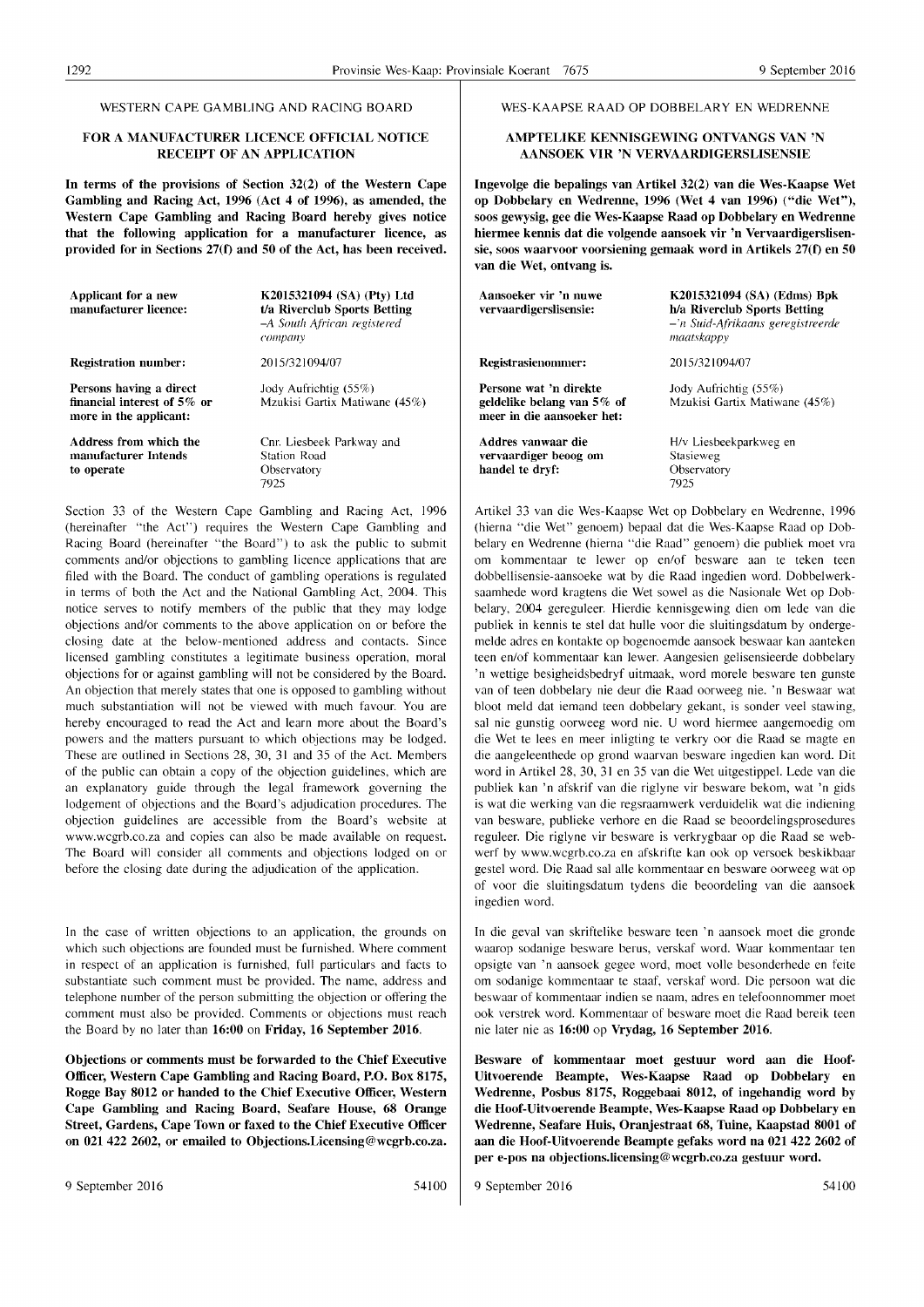#### WESTERN CAPE GAMBLING AND RACING BOARD

#### FOR A MANUFACTURER LICENCE OFFICIAL NOTICE RECEIPT OF AN APPLICATION

In terms of the provisions of Section 32(2) of the Western Cape Gambling and Racing Act, 1996 (Act 4 of 1996), as amended, the Western Cape Gambling and Racing Board hereby gives notice that the following application for a manufacturer licence, as provided for in Sections 27(f) and 50 of the Act, has been received.

| Applicant for a new<br>manufacturer licence:                                        | K2015321094 (SA) (Pty) Ltd<br>t/a Riverclub Sports Betting<br>-A South African registered<br>сотрану |
|-------------------------------------------------------------------------------------|------------------------------------------------------------------------------------------------------|
| <b>Registration number:</b>                                                         | 2015/321094/07                                                                                       |
| Persons having a direct<br>financial interest of $5\%$ or<br>more in the applicant: | Jody Aufrichtig (55%)<br>Mzukisi Gartix Matiwane (45%)                                               |
| Address from which the<br>manufacturer Intends<br>to operate                        | Cnr. Liesbeek Parkway and<br>Station Road<br>Observatory<br>7925                                     |

Section 33 of the Western Cape Gambling and Racing Act, 1996 (hereinafter "the Act") requires the Western Cape Gambling and Racing Board (hereinafter "the Board") to ask the public to submit comments and/or objections to gambling licence applications that are filed with the Board. The conduct of gambling operations is regulated in terms of both the Act and the National Gambling Act, 2004. This notice serves to notify members of the public that they may lodge objections and/or comments to the above application on or before the closing date at the below-mentioned address and contacts. Since licensed gambling constitutes a legitimate business operation, moral objections for or against gambling will not be considered by the Board. An objection that merely states that one is opposed to gambling without much substantiation will not be viewed with much favour. You are hereby encouraged to read the Act and learn more about the Board's powers and the matters pursuant to which objections may be lodged. These are outlined in Sections 28, 30, 31 and 35 of the Act. Members of the public can obtain a copy of the objection guidelines, which are an explanatory guide through the legal framework governing the lodgement of objections and the Board's adjudication procedures. The objection guidelines are accessible from the Board's website at www.wcgrb.co.za and copies can also be made available on request. The Board will consider all comments and objections lodged on or before the closing date during the adjudication of the application.

In the case of written objections to an application, the grounds on which such objections are founded must be furnished. Where comment in respect of an application is furnished, full particulars and facts to substantiate such comment must be provided. The name, address and telephone number of the person submitting the objection or offering the comment must also be provided. Comments or objections must reach the Board by no later than 16:00 on Friday, 16 September 2016.

Objections or comments must be forwarded to the Chief Executive Officer, Western Cape Gambling and Racing Board, P.O. Box 8175, Rogge Bay 8012 or handed to the Chief Executive Officer, Western Cape Gambling and Racing Board, Seafare House, 68 Orange Street, Gardens, Cape Town or faxed to the Chief Executive Officer on 021 422 2602, or emailed to Objections.Licensing@wcgrb.co.za. WES-KAAPSE RAAD OP DOBBELARY EN WEDRENNE

#### AMPTELIKE KENNISGEWING ONTVANGS VAN 'N AANSOEK VIR 'N VERVAARDIGERSLISENSIE

Ingevolge die bepalings van Artikel 32(2) van die Wes-Kaapse Wet op Dobbelary en Wed renne, 1996 (Wet 4 van 1996) ("die Wet"), soos gewysig, gee die Wes-Kaapse Raad op Dobbelary en Wedrenne hiermee kennis dat die volgende aansoek vir 'n Vervaardigerslisensie, soos waarvoor voorsiening gemaak word in Artikels 27(f) en 50 van die Wet, ontvang is.

| Aansoeker vir 'n nuwe<br>vervaardigerslisensie:                                    | K2015321094 (SA) (Edms) Bpk<br>h/a Riverclub Sports Betting<br>-'n Suid-Afrikaans geregistreerde<br>maatskappy |
|------------------------------------------------------------------------------------|----------------------------------------------------------------------------------------------------------------|
| <b>Registrasienommer:</b>                                                          | 2015/321094/07                                                                                                 |
| Persone wat 'n direkte<br>geldelike belang van 5% of<br>meer in die aansoeker het: | Jody Aufrichtig (55%)<br>Mzukisi Gartix Matiwane (45%)                                                         |
| Addres vanwaar die<br>vervaardiger beoog om<br>handel te dryf:                     | H/v Liesbeekparkweg en<br>Stasieweg<br>Observatory<br>7925                                                     |

Artikel 33 van die Wes-Kaapse Wet op Dobbelary en Wedrenne, 1996 (hierna "die Wet" genoem) bepaal dat die Wes-Kaapse Raad op Dobbelary en Wedrenne (hierna "die Raad" genoem) die publiek moet vra om kommentaar te lewer op en/of besware aan te teken teen dobbellisensie-aansoeke wat by die Raad ingedien word. Dobbelwerksaamhede word kragtens die Wet sowel as die Nasionale Wet op Dobbelary, 2004 gereguleer. Hierdie kennisgewing dien om lede van die publiek in kennis te stel dat hulle voor die sluitingsdatum by ondergemelde adres en kontakte op bogenoemde aansoek beswaar kan aanteken teen en/of kommentaar kan lewer. Aangesien gelisensieerde dobbelary 'n wettige besigheidsbedryf uitmaak, word morele besware ten gunste van of teen dobbelary nie deur die Raad oorweeg nie. 'n Beswaar wat bloot meld dat iemand teen dobbelary gekant, is sonder veel stawing, sal nie gunstig oorweeg word nie. U word hiermee aangemoedig om die Wet te lees en meer inligting te verkry oor die Raad se magte en die aangeleenthede op grond waarvan besware ingedien kan word. Dit word in Artikel 28, 30, 31 en 35 van die Wet uitgestippel. Lede van die publiek kan 'n afskrif van die riglyne vir besware bekom, wat 'n gids is wat die werking van die regsraamwerk verduidelik wat die indiening van besware, publieke verhore en die Raad se beoordelingsprosedures reguleer. Die riglyne vir besware is verkrygbaar op die Raad se webwerf by www.wcgrb.co.za en afskrifte kan ook op versoek beskikbaar gestel word. Die Raad sal aile kommentaar en besware oorweeg wat op of voor die sluitingsdatum tydens die beoordeling van die aansoek ingedien word.

In die geval van skriftelike besware teen 'n aansoek moet die gronde waarop sodanige besware berus, verskaf word. Waar kommentaar ten opsigte van 'n aansoek gegee word, moet volle besonderhede en feite om sodanige kommentaar te staaf, verskaf word. Die persoon wat die beswaar of kommentaar indien se naam, adres en telefoonnommer moet ook verstrek word. Kommentaar of besware moet die Raad bereik teen nie later nie as 16:00 op Vrydag, 16 September 2016.

Besware of kommentaar moet gestuur word aan die Hoof-Uitvoerende Beampte, Wes-Kaapse Raad op Dobbelary en Wedrenne, Posbus 8175, Roggebaai 8012, of ingehandig word by die Hoof-Uitvoerende Beampte, Wes-Kaapse Raad op Dobbelary en Wedrenne, Seafare Huis, Oranjestraat 68, Tuine, Kaapstad 8001 of aan die Hoof-Uitvoerende Beampte gefaks word na 021 422 2602 of per e-pos na objections.Iicensing@wcgrb.co.za gestuur word.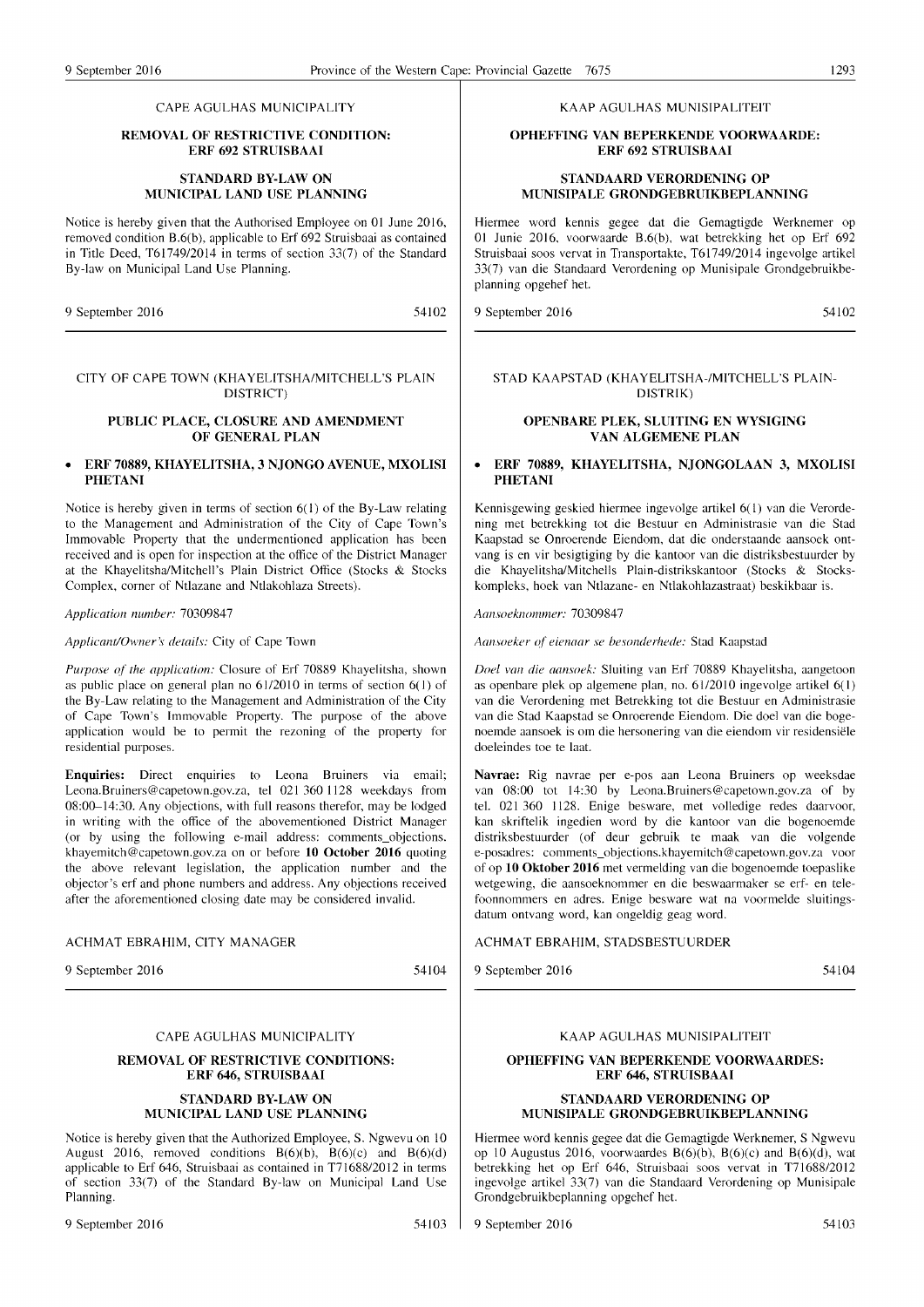#### CAPE AGULHAS MUNICIPALITY

#### REMOVAL OF RESTRICTIVE CONDITION: ERF 692 STRUISBAAI

#### STANDARD BY-LAW ON MUNICIPAL LAND USE PLANNING

Notice is hereby given that the Authorised Employee on 01 June 2016, removed condition B.6(b), applicable to Erf 692 Struisbaai as contained in Title Deed, T61749/2014 in terms of section 33(7) of the Standard By-law on Municipal Land Use Planning.

9 September 2016 54102

#### KAAP AGULHAS MUNISIPALITEIT

#### OPHEFFING VAN BEPERKENDE VOORWAARDE: ERF 692 STRUISBAAI

#### STANDAARD VERORDENING OP MUNISIPALE GRONDGEBRUIKBEPLANNING

Hiermee word kennis gegee dat die Gemagtigde Werknemer op 01 Junie 2016, voorwaarde B.6(b), wat betrekking het op Erf 692 Struisbaai soos vervat in Transportakte, *T61749/2014* ingevolge artikel 33(7) van die Standaard Verordening op Munisipale Grondgebruikbeplanning opgehef het.

9 September 2016 54102

#### STAD KAAPSTAD (KHAYELITSHA-/MITCHELL'S PLAIN-DISTRIK)

#### OPENBARE PLEK, SLUITING EN WYSIGING VAN ALGEMENE PLAN

#### • ERF 70889, KHAYELITSHA, NJONGOLAAN 3, MXOLISI PHETANI

Kennisgewing geskied hiermee ingevolge artikel 6(1) van die Verordening met be trekking tot die Bestuur en Administrasie van die Stad Kaapstad se Onroerende Eiendom, dat die onderstaande aansoek ontvang is en vir besigtiging by die kantoor van die distriksbestuurder by die Khayelitsha/Mitchells Plain-distrikskantoor (Stocks & Stockskompleks, hoek van Ntlazane- en Ntlakohlazastraat) beskikbaar is.

*Aallsoekllommer: 70309847* 

*AallSoeker of' eienaar se besonderhede:* Stad Kaapstad

*Duel vall die aansoek:* Sluiting van Erf 70889 Khayelitsha, aangetoon as openbare plek op algemene plan, no. 61/2010 ingevolge artikel 6(1) van die Verordening met Betrekking tot die Bestuur en Administrasie van die Stad Kaapstad se Onroerende Eiendom. Die doel van die bogenoemde aansoek is om die hersonering van die eiendom vir residensiele doeleindes toe te laat.

Navrae: Rig navrae per e-pos aan Leona Bruiners op weeksdae van 08:00 tot 14:30 by Leona.Bruiners@capetown.gov.za of by tel. 021360 1128. Enige besware, met volledige redes daarvoor, kan skriftelik ingedien word by die kantoor van die bogenoemde distriksbestuurder (of deur gebruik te maak van die volgende e-posadres: comments\_objections.khayemitch@capetown.gov.za voor of op 10 Oktober 2016 met vermelding van die bogenoemde toepaslike wetgewing, die aansoeknommer en die beswaarmaker se erf- en telefoonnommers en adres. Enige besware wat na voormelde sluitingsdatum ontvang word, kan ongeldig geag word.

#### ACHMAT EBRAHIM, STADSBESTUURDER

9 September 2016

54104

#### KAAP AGULHAS MUNISIPALITEIT

#### OPHEFFING VAN BEPERKENDE VOORWAARDES: ERF 646, STRUISBAAI

#### STANDAARD VERORDENING OP MUNISIPALE GRONDGEBRUIKBEPLANNING

Hiermee word kennis gegee dat die Gemagtigde Werknemer, S Ngwevu op 10 Augustus 2016, voorwaardes  $B(6)(b)$ ,  $B(6)(c)$  and  $B(6)(d)$ , wat betrekking het op Erf 646, Struisbaai soos vervat in T71688/2012 ingevolge artikel 33(7) van die Standaard Verordening op Munisipale Grondgebruikbeplanning opgehef het.

9 September 2016 54103

#### CITY OF CAPE TOWN (KHAYELITSHA/MITCHELL'S PLAIN DISTRICT) PUBLIC PLACE, CLOSURE AND AMENDMENT

### OF GENERAL PLAN

#### • ERF 70889, KHAYELITSHA, 3 NJONGO AVENUE, MXOLISI PHETANI

Notice is hereby given in terms of section 6(1) of the By-Law relating to the Management and Administration of the City of Cape Town's Immovable Property that the undermentioned application has been received and is open for inspection at the office of the District Manager at the Khayelitsha/Mitchell's Plain District Office (Stocks & Stocks Complex, corner of Ntlazane and Ntlakohlaza Streets).

#### *Application number: 70309847*

*ApplicantlOwner\ details:* City of Cape Town

*Purpose of the application:* Closure of Erf 70889 Khayelitsha, shown as public place on general plan no  $61/2010$  in terms of section  $6(1)$  of the By-Law relating to the Management and Administration of the City of Cape Town's Immovable Property. The purpose of the above application would be to permit the rezoning of the property for residential purposes.

Enquiries: Direct enquiries to Leona Bruiners via email; Leona.Bruiners@capetown.gov.za, tel 021 360 1128 weekdays from 08:00-14:30. Any objections, with full reasons therefor, may be lodged in writing with the office of the abovementioned District Manager (or by using the following e-mail address: comments\_objections. khayemitch@capetown.gov.za on or before 10 October 2016 quoting the above relevant legislation, the application number and the objector's erf and phone numbers and address. Any objections received after the aforementioned closing date may be considered invalid.

#### ACHMAT EBRAHIM, CITY MANAGER

9 September 2016

#### CAPE AGULHAS MUNICIPALITY

#### REMOVAL OF RESTRICTIVE CONDITIONS: ERF 646, STRUISBAAI STANDARD BY-LAW ON

### MUNICIPAL LAND USE PLANNING

Notice is hereby given that the Authorized Employee, S. Ngwevu on 10 August 2016, removed conditions  $B(6)(b)$ ,  $B(6)(c)$  and  $B(6)(d)$ applicable to Erf 646, Struisbaai as contained in T71688/2012 in terms of section 33(7) of the Standard By-law on Municipal Land Use Planning.

54104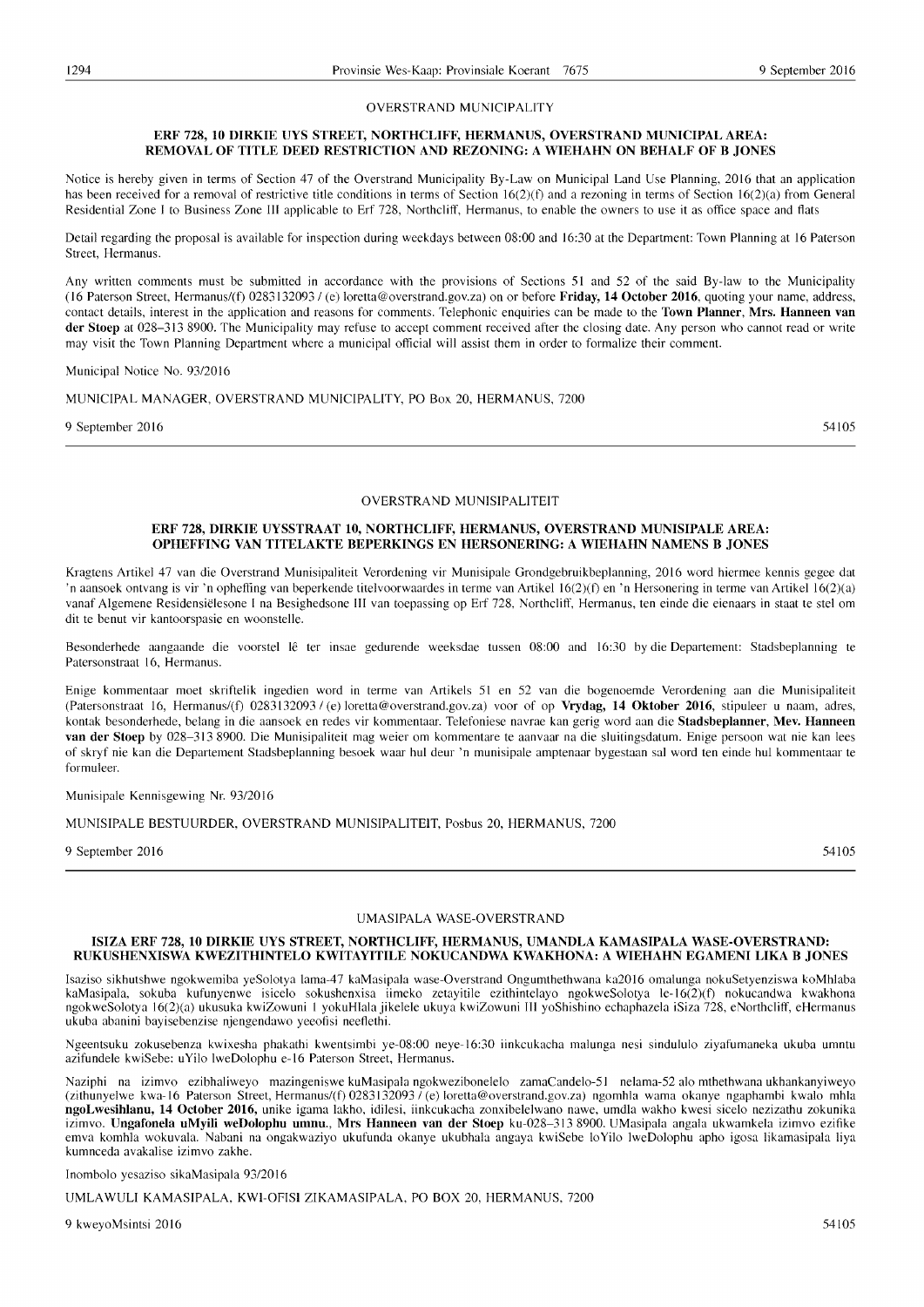#### OVERSTRAND MUNICIPALITY

#### ERF 728, 10 DIRKIE UYS STREET, NORTHCLIFF, HERMANUS, OVERSTRAND MUNICIPAL AREA: REMOVAL OF TITLE DEED RESTRICTION AND REZONING: A WIEHAHN ON BEHALF OF B JONES

Notice is hereby given in terms of Section 47 of the Overstrand Municipality By-Law on Municipal Land Use Planning, 2016 that an application has been received for a removal of restrictive title conditions in terms of Section 16(2)(f) and a rezoning in terms of Section 16(2)(a) from General Residential Zone I to Business Zone III applicable to Erf 728, Northcliff, Hermanus, to enable the owners to use it as office space and flats

Detail regarding the proposal is available for inspection during weekdays between 08:00 and 16:30 at the Department: Town Planning at 16 Paterson Street, Hermanus.

Any written comments must be submitted in accordance with the provisions of Sections 51 and 52 of the said By-law to the Municipality (16 Paterson Street, Hermanus/(t) *02831320931* (e) loretta@overstrand.gov.za) on or before Friday, 14 October 2016, quoting your name, address, contact details, interest in the application and reasons for comments. Telephonic enquiries can be made to the Town Planner, Mrs. Hanneen van der Stoep at 028-313 8900. The Municipality may refuse to accept comment received after the closing date. Any person who cannot read or write may visit the Town Planning Department where a municipal official will assist them in order to formalize their comment.

Municipal Notice No. *9312016* 

#### MUNICIPAL MANAGER, OVERSTRAND MUNICIPALITY, PO Box 20, HERMANUS, 7200

9 September 2016  $54105$ 

#### OVERSTRAND MUNISIPALITEIT

#### ERF 728, DIRKIE UYSSTRAAT 10, NORTHCLIFF, HERMANUS, OVERSTRAND MUNISIPALE AREA: OPHEFFING VAN TITELAKTE BEPERKINGS EN HERSONERING: A WIEHAHN NAMENS B JONES

Kragtens Artikel 47 van die Overstrand Munisipaliteit Verordening vir Munisipale Grondgebruikbeplanning, 2016 word hiermee kennis gegee dat 'n aansoek ontvang is vir 'n opheffing van beperkende titelvoorwaardes in tenne van Artikel 16(2)(t) en 'n Hersonering in terme van Artikel 16(2)(a) vanaf AIgemene Residensielesone I na Besighedsone III van toepassing op Erf 728, Northcliff, Hermanus, ten einde die eienaars in staat te stel om dit te benut vir kantoorspasie en woonstelle.

Besonderhede aangaande die voorstel lê ter insae gedurende weeksdae tussen 08:00 and 16:30 by die Departement: Stadsbeplanning te Patersonstraat 16, Hermanus.

Enige kommentaar moet skriftelik ingedien word in terme van Artikels 51 en 52 van die bogenoemde Verordening aan die Munisipaliteit (Patersonstraat 16, Hermanus/(f) *02831320931* (e) loretta@overstrand.gov.za) voor of op Vrydag, 14 Oktober 2016, stipuleer u naam, adres, kontak besonderhede, belang in die aansoek en redes vir kommentaar. Telefoniese navrae kan gerig word aan die Stadsbeplanner, Mev. Hanneen van der Stoep by 028-313 8900. Die Munisipaliteit mag weier om kommentare te aanvaar na die sluitingsdatum. Enige persoon wat nie kan lees of skryf nie kan die Departement Stadsbeplanning besoek waar hul deur 'n munisipale amptenaar bygestaan sal word ten einde hul kommentaar te formuleer.

#### Munisipale Kennisgewing Nr. *9312016*

MUNISIPALE BESTUURDER, OVERSTRAND MUNISIPALITEIT, Posbus 20, HERMANUS, 7200

9 September 2016 54105

#### UMASIPALA WASE-OVERSTRAND

#### ISIZA ERF 728, 10 DIRKIE UYS STREET, NORTHCLIFF, HERMANUS, UMANDLA KAMASIPALA WASE-OVERSTRAND: RUKUSHENXISWA KWEZITHINTELO KWITAYITILE NOKUCANDWA KWAKHONA: A WIEHAHN EGAMENI LIKA B JONES

Isaziso sikhutshwe ngokwemiba yeSolotya lama-47 kaMasipala wase-Overstrand Ongumthethwana ka2016 omalunga nokuSetyenziswa koMhlaba kaMasipala, sokuba kufunyenwe isicelo sokushenxisa iimeko zetayitile ezithintelayo ngokweSolotya le-16(2)(t) nokucandwa kwakhona ngokweSolotya 16(2)(a) ukusuka kwiZowuni I yokuHlala jikelele ukuya kwiZowuni III yoShishino echaphazela iSiza 728, eNorthcliff, eHermanus ukuba abanini bayisebenzise njengendawo yeeofisi neeflethi.

Ngeentsuku zokusebenza kwixesha phakathi kwentsimbi ye-08:00 neye-16:30 iinkcukacha malunga nesi sindululo ziyafumaneka ukuba umntu azifundele kwiSebe: uYilo IweDolophu e-16 Paterson Street, Hermanus.

Naziphi na izimvo ezibhaliweyo mazingeniswe kuMasipala ngokwezibonelelo zamaCandelo-51 nelama-52 alo mthethwana ukhankanyiweyo (zithunyelwe kwa-16 Paterson Street, Hermanus/(f) *02831320931* (e) loretta@overstrand.gov.za) ngomhla wama okanye ngaphambi kwalo mhla ngoLwesihlanu, 14 October 2016, unike igama lakho, idilesi, iinkcukacha zonxibelelwano nawe, umdla wakho kwesi sicelo nezizathu zokunika izimvo. Ungafonela uMyili weDolophu umnu., Mrs Hanneen van der Stoep ku-028-313 8900. UMasipala angala ukwamkela izimvo ezifike emva komhla wokuvala. Nabani na ongakwaziyo ukufunda okanye ukubhala angaya kwiSebe 10 Yilo IweDolophu apho igosa likamasipala liya kumnceda avakalise izimvo zakhe.

Inombolo yesaziso sikaMasipala *9312016* 

UMLAWULI KAMASIPALA, KWI-OFISI ZIKAMASIPALA, PO BOX 20, HERMANUS, 7200

9 kweyoMsintsi 2016 54105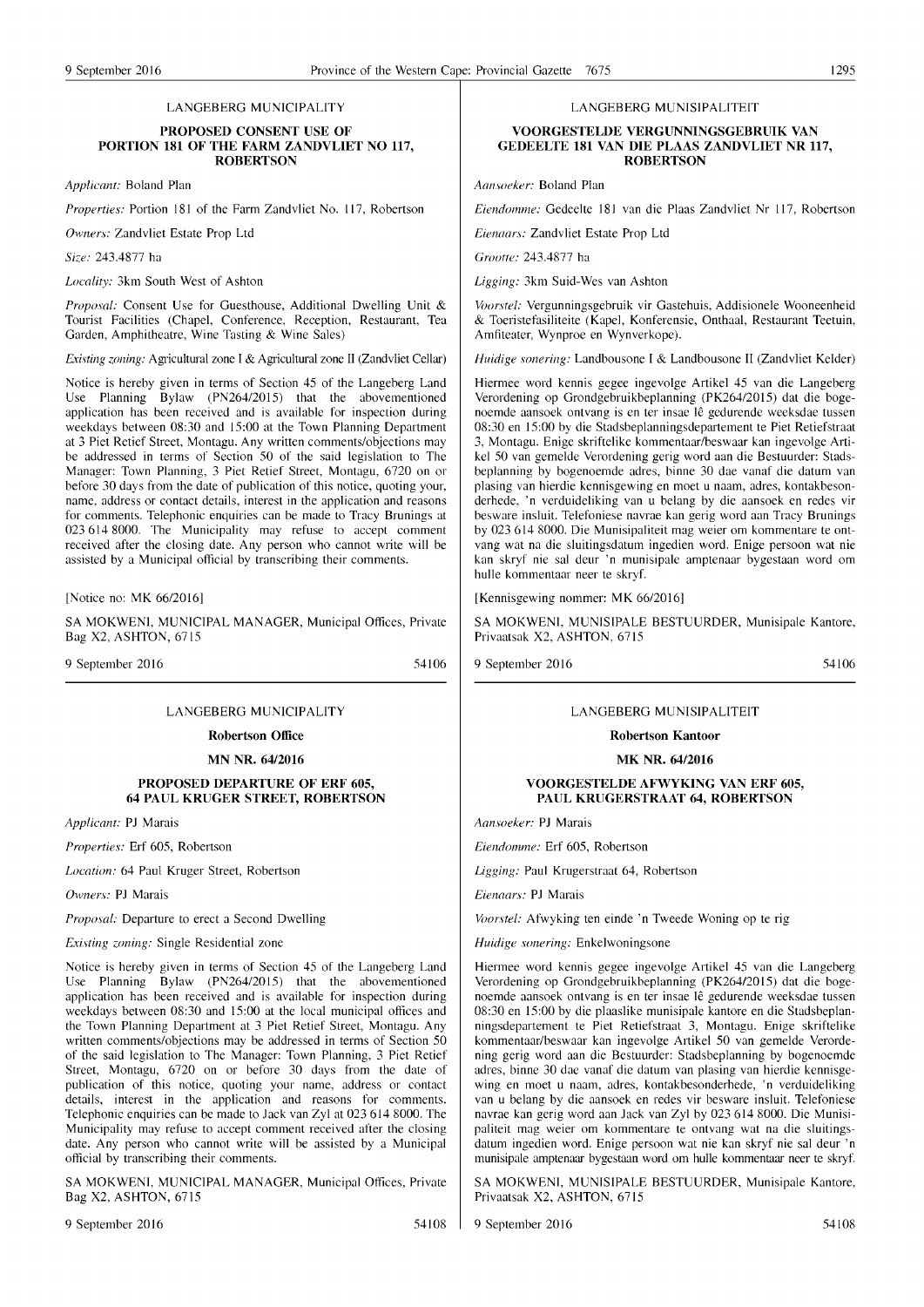#### LANGEBERG MUNICIPALITY

#### PROPOSED CONSENT USE OF PORTION 181 OF THE FARM ZANDVLIET NO 117, **ROBERTSON**

*Applicant: Boland Plan* 

*Properties: Portion 181 of the Farm Zandvliet No. 117, Robertson* 

Owners: Zandvliet Estate Prop Ltd

 $Size: 243.4877$  ha

*Locality:* 3km South West of Ashton

Proposal: Consent Use for Guesthouse, Additional Dwelling Unit & Tourist Facilities (Chapel, Conference, Reception, Restaurant, Tea Garden, Amphitheatre, Wine Tasting & Wine Sales)

*Existing zoning: Agricultural zone I & Agricultural zone II (Zandvliet Cellar)* 

Notice is hereby given in terms of Section 45 of the Langeberg Land Use Planning Bylaw (PN264/2015) that the abovementioned application has been received and is available for inspection during weekdays between 08:30 and 15:00 at the Town Planning Department at 3 Piet Retief Street, Montagu. Any written comments/objections may be addressed in terms of Section 50 of the said legislation to The Manager: Town Planning, 3 Piet Retief Street, Montagu, 6720 on or before 30 days from the date of publication of this notice, quoting your, name, address or contact details, interest in the application and reasons for comments. Telephonic enquiries can be made to Tracy Brunings at 023 614 8000. The Municipality may refuse to accept comment received after the closing date. Any person who cannot write will be assisted by a Municipal official by transcribing their comments.

[Notice no: MK 66/2016]

SA MOKWENI, MUNICIPAL MANAGER, Municipal Offices, Private Bag X2, ASHTON, 6715

9 September 2016

54106

#### LANGEBERG MUNICIPALITY

Robertson Office

MN NR. 64/2016

#### PROPOSED DEPARTURE OF ERF 605, 64 PAUL KRUGER STREET, ROBERTSON

*Applicant: PJ Marais* 

*Properties:* Erf 605, Robertson

Location: 64 Paul Kruger Street, Robertson

Owners: PJ Marais

*Proposal:* Departure to erect a Second Dwelling

*Existing zoning:* Single Residential zone

Notice is hereby given in terms of Section 45 of the Langeberg Land Use Planning Bylaw (PN264/2015) that the abovementioned application has been received and is available for inspection during weekdays between 08:30 and 15:00 at the local municipal offices and the Town Planning Department at 3 Piet Retief Street, Montagu. Any written comments/objections may be addressed in terms of Section 50 of the said legislation to The Manager: Town Planning, 3 Piet Retief Street, Montagu, 6720 on or before 30 days from the date of publication of this notice, quoting your name, address or contact details, interest in the application and reasons for comments. Telephonic enquiries can be made to Jack van Zyl at 023 614 8000. The Municipality may refuse to accept comment received after the closing date. Any person who cannot write will be assisted by a Municipal official by transcribing their comments.

SA MOKWENI, MUNICIPAL MANAGER, Municipal Offices, Private Bag X2, ASHTON, 6715

9 September 2016 54108

LANGEBERG MUNISIPALITEIT

#### VOORGESTELDE VERGUNNINGSGEBRUIK VAN GEDEELTE 181 VAN DIE PLAAS ZANDVLIET NR 117, **ROBERTSON**

*Aansoeker:* Boland Plan

*Eiendomme: Gedeelte 181 van die Plaas Zandvliet Nr 117, Robertson* 

*Eienaars:* Zandvliet Estate Prop Ltd

*Cromie:* 243.4877 ha

Ligging: 3km Suid-Wes van Ashton

Voorstel: Vergunningsgebruik vir Gastehuis, Addisionele Wooneenheid & Toeristefasiliteite (Kapel, Konferensie, Onthaal, Restaurant Teetuin, Amfiteater, Wynproe en Wynverkope).

*Huidige sonering: Landbousone I & Landbousone II (Zandvliet Kelder)* 

Hiermee word kennis gegee ingevolge Artikel 45 van die Langeberg Verordening op Grondgebruikbeplanning (PK264/2015) dat die bogenoemde aansoek ontvang is en ter insae lê gedurende weeksdae tussen 08:30 en 15:00 by die Stadsbeplanningsdepartement te Piet Retiefstraat 3, Montagu. Enige skriftelike kommentaar/beswaar kan ingevolge Artikel 50 van gemelde Verordening gerig word aan die Bestuurder: Stadsbeplanning by bogenoemde adres, binne 30 dae vanaf die datum van plasing van hierdie kennisgewing en moet u naam, adres, kontakbesonderhede, 'n verduideliking van u belang by die aansoek en redes vir besware insluit. Telefoniese navrae kan gerig word aan Tracy Brunings by 023 614 8000. Die Munisipaliteit mag weier om kommentare te ontvang wat na die sluitingsdatum ingedien word. Enige persoon wat nie kan skryf nie sal deur 'n munisipale amptenaar bygestaan word om hulle kommentaar neer te skryf.

[Kennisgewing nommer: MK 66/2016]

SA MOKWENI, MUNISIPALE BESTUURDER, Munisipale Kantore, Privaatsak X2, ASHTON, 6715

9 September 2016

54106

#### LANGEBERG MUNISIPALITEIT

Robertson Kantoor

#### MK NR. 64/2016

#### VOORGESTELDE AFWYKING VAN ERF 605, PAUL KRUGERSTRAAT 64, ROBERTSON

Aansoeker: PJ Marais

*Eiendomme:* Erf 605, Robertson

Ligging: Paul Krugerstraat 64, Robertson

*Eienaars: PJ Marais* 

*Voorstel:* Afwyking ten einde 'n Tweede Woning op te rig

*Huidige sonering:* Enkelwoningsone

Hiermee word kennis gegee ingevolge Artikel 45 van die Langeberg Verordening op Grondgebruikbeplanning (PK264/2015) dat die bogenoemde aansoek ontvang is en ter insae lê gedurende weeksdae tussen 08:30 en 15:00 by die plaaslike munisipale kantore en die Stadsbeplanningsdepartement te Piet Retiefstraat 3, Montagu. Enige skriftelike kommentaar/beswaar kan ingevolge Artikel 50 van gemelde Verordening gerig word aan die Bestuurder: Stadsbeplanning by bogenoemde adres, binne 30 dae vanaf die datum van plasing van hierdie kennisgewing en moet u naam, adres, kontakbesonderhede, 'n verduideliking van u belang by die aansoek en redes vir besware insluit. Telefoniese navrae kan gerig word aan Jack van Zyl by 023 614 8000. Die Munisipaliteit mag weier om kommentare te ontvang wat na die sluitingsdatum ingedien word. Enige persoon wat nie kan skryf nie sal deur 'n munisipale amptenaar bygestaan word om hulle kommentaar neer te skryf.

SA MOKWENI, MUNISIPALE BESTUURDER, Munisipale Kantore, Privaatsak X2, ASHTON, 6715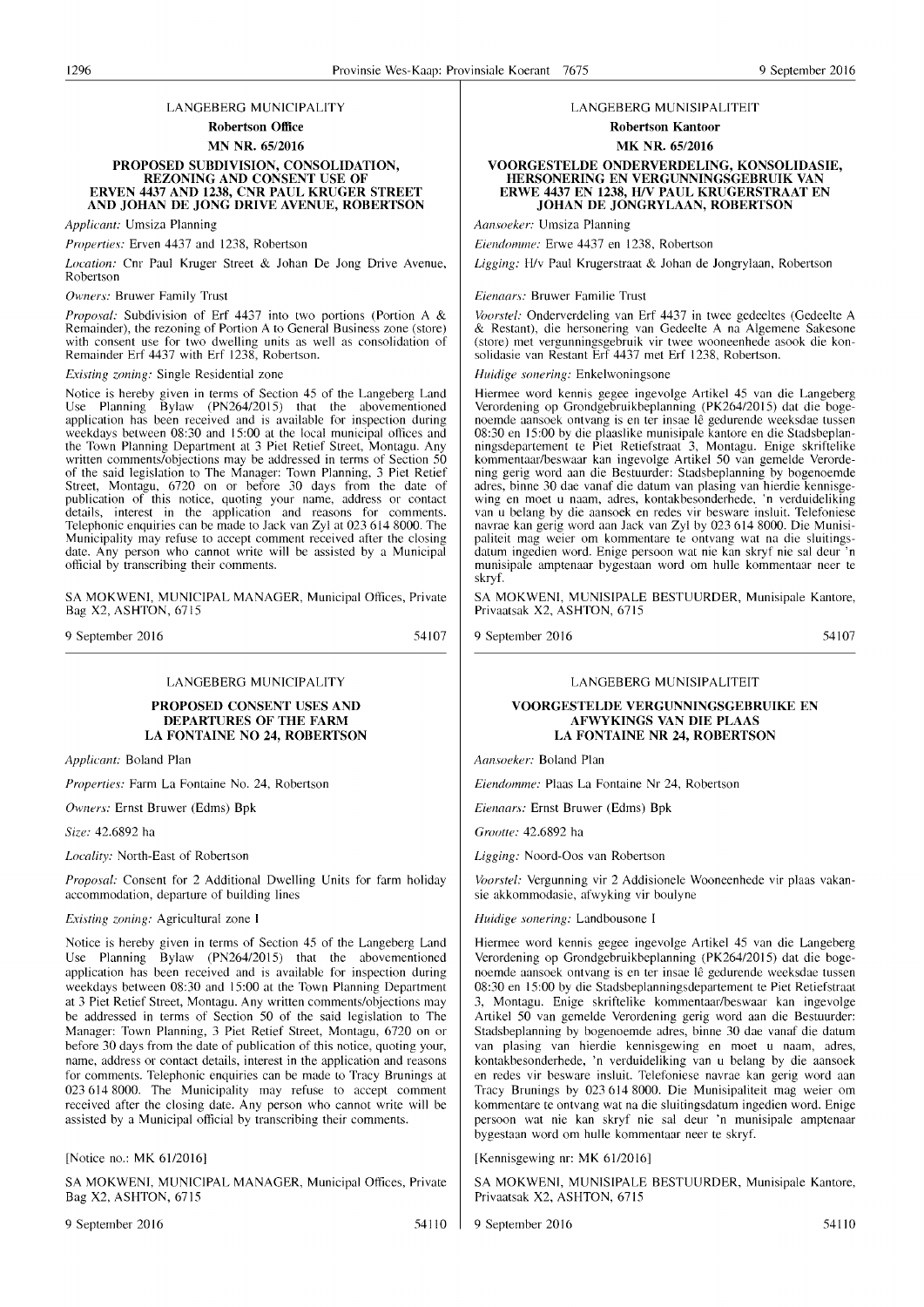#### LANGEBERG MUNICIPALITY

Robertson Office MN NR. 65/2016

#### PROPOSED SUBDIVISION, CONSOLIDATION, REZONING AND CONSENT USE OF ERVEN 4437 AND 1238, CNR PAUL KRUGER STREET AND JOHAN DE JONG DRIVE AVENUE, ROBERTSON

*Applicant:* Umsiza Planning

*Properties:* Erven 4437 and 1238, Robertson

*Location:* Cnr Paul Kruger Street & Johan De Jong Drive Avenue, Robertson

**Owners: Bruwer Family Trust** 

*Proposal:* Subdivision of Erf 4437 into two portions (Portion A & Remainder), the rezoning of Portion A to General Business zone (store) with consent use for two dwelling units as well as consolidation of Remainder Erf 4437 with Erf 1238, Robertson.

*Existing zoning:* Single Residential zone

Notice is hereby given in terms of Section 45 of the Langeberg Land Use Planning Bylaw (PN264/2015) that the abovementioned application has been received and is available for inspection during weekdays between 08:30 and 15:00 at the local municipal offices and the Town Planning Department at 3 Piet Retief Street, Montagu. Any written comments/objections may be addressed in terms of Section 50 of the said legislation to The Manager: Town Planning, 3 Piet Retief Street, Montagu, 6720 on or before 30 days from the date of publication of this notice, quoting your name, address or contact details, interest in the application and reasons for comments. Telephonic enquiries can be made to Jack van Zyl at 023 614 8000. The Municipality may refuse to accept comment received after the closing date. Any person who cannot write will be assisted by a Municipal official by transcribing their comments.

SA MOKWENI, MUNICIPAL MANAGER, Municipal Offices, Private Bag X2, ASHTON, 6715

9 September 2016

54107

#### LANGEBERG MUNICIPALITY

PROPOSED CONSENT USES AND DEPARTURES OF THE FARM LA FONTAINE NO 24, ROBERTSON

*Applicant:* Boland Plan

*Properties:* Farm La Fontaine No. 24, Robertson

*Owners:* Ernst Bruwer (Edms) Bpk

*Size:* 42.6892 ha

*Locality:* North-East of Robertson

*Proposal:* Consent for 2 Additional Dwelling Units for farm holiday accommodation, departure of building lines

*Existing zoning:* Agricultural zone I

Notice is hereby given in terms of Section 45 of the Langeberg Land Use Planning Bylaw (PN264/2015) that the abovementioned application has been received and is available for inspection during weekdays between 08:30 and 15:00 at the Town Planning Department at 3 Piet Retief Street, Montagu. Any written comments/objections may be addressed in terms of Section 50 of the said legislation to The Manager: Town Planning, 3 Piet Retief Street, Montagu, 6720 on or before 30 days from the date of publication of this notice, quoting your, name, address or contact details, interest in the application and reasons for comments. Telephonic enquiries can be made to Tracy Brunings at 0236148000. The Municipality may refuse to accept comment received after the closing date. Any person who cannot write will be assisted by a Municipal official by transcribing their comments.

[Notice no.: MK 61/2016]

SA MOKWENI, MUNICIPAL MANAGER, Municipal Offices, Private Bag X2, ASHTON, 6715

9 September 2016 54110

#### LANGEBERG MUN1SIPALITEIT

Robertson Kantoor MK NR. 65/2016

#### VOORGESTELDE ONDERVERDELING, KONSOLIDASIE, HERSONERING EN VERGUNNINGSGEBRUIK VAN ERWE 4437 EN 1238, H!V PAUL KRUGERSTRAAT EN JOHAN DE JONGRYLAAN, ROBERTSON

*Aallsoeker:* Umsiza Planning

*Eiendomme: Erwe 4437 en 1238, Robertson* 

*Ligging:* H/v Paul Krugerstraat & Johan de Jongrylaan, Robertson

*Eienaars:* Bruwer Familie Trust

*Voorstei:* Onderverdeling van Erf 4437 in twee gedeeltes (Gedeelte A & Restant), die hersonering van Gedeelte A na Algemene Sakesone (store) met vergunningsgebruik vir twee wooneenhede asook die konsolidasie van Restant Erf 4437 met Erf 1238, Robertson.

*Huidige sonering:* Enkelwoningsone

Hiermee word kennis gegee ingevolge Artikel 45 van die Langeberg Verordening op Grondgebruikbeplanning (PK264!2015) dat die bogenoemde aansoek ontvang is en ter insae Ie gedurende weeksdae tussen 08:30 en 15:00 by die plaaslike munisipale kantore en die Stadsbeplanningsdepartement te Piet Retiefstraat 3, Montagu. Enige skriftelike kommentaarlbeswaar kan ingevolge Artikel 50 van gemelde Verordening gerig word aan die Bestuurder: Stadsbeplanning by bogenoemde adres, binne 30 dae vanaf die datum van plasing van hierdie kennisgewing en moet u naam, adres, kontakbesonderhede, 'n verduideliking van u belang by die aansoek en redes vir besware insluit. Telefoniese navrae kan gerig word aan Jack van Zyl by 0236148000. Die Munisipaliteit mag weier om kommentare te ontvang wat na die sluitingsdatum ingedien word. Enige persoon wat nie kan skryf nie sal deur 'n munisipale amptenaar bygestaan word om hulle kommentaar neer te skryf.

SA MOKWENI, MUNISIPALE BESTUURDER, Munisipale Kantore, Privaatsak X2, ASHTON, 6715

9 September 2016

54107

#### LANGEBERG MUNISIPALITEIT

#### VOORGESTELDE VERGUNNINGSGEBRUIKE EN AFWYKINGS VAN DIE PLAAS LA FONTAINE NR 24, ROBERTSON

*Aansoeker:* Boland Plan

*Eiendomme:* Plaas La Fontaine Nr 24, Robertson

*Eienaars:* Ernst Bruwer (Edms) Bpk

*Grootte:* 42.6892 ha

*Ligging:* Noord-Oos van Robertson

*Voorstel:* Vergunning vir 2 Addisionele Wooneenhede vir plaas vakansie akkommodasie, afwyking vir boulyne

*Huidige sonering:* Landbousone I

Hiermee word kennis gegee ingevolge Artikel 45 van die Langeberg Verordening op Grondgebruikbeplanning (PK264/2015) dat die bogenoemde aansoek ontvang is en ter insae lê gedurende weeksdae tussen 08:30 en 15:00 by die Stadsbeplanningsdepartement te Piet Retiefstraat 3, Montagu. Enige skriftelike kommentaar/beswaar kan ingevolge Artikel 50 van gemelde Verordening gerig word aan die Bestuurder: Stadsbeplanning by bogenoemde adres, binne 30 dae vanaf die datum van plasing van hierdie kennisgewing en moet u naam, adres, kontakbesonderhede, 'n verduideliking van u belang by die aansoek en redes vir besware insluit. Telefoniese navrae kan gerig word aan Tracy Brunings by 023 614 8000. Die Munisipaliteit mag weier om kommentare te ontvang wat na die sluitingsdatum ingedien word. Enige persoon wat nie kan skryf nie sal deur 'n munisipale amptenaar bygestaan word om hulle kommentaar neer te skryf.

[Kennisgewing nr: MK 61/2016]

SA MOKWENI, MUNISIPALE BESTUURDER, Munisipale Kantore, Privaatsak X2, ASHTON, 6715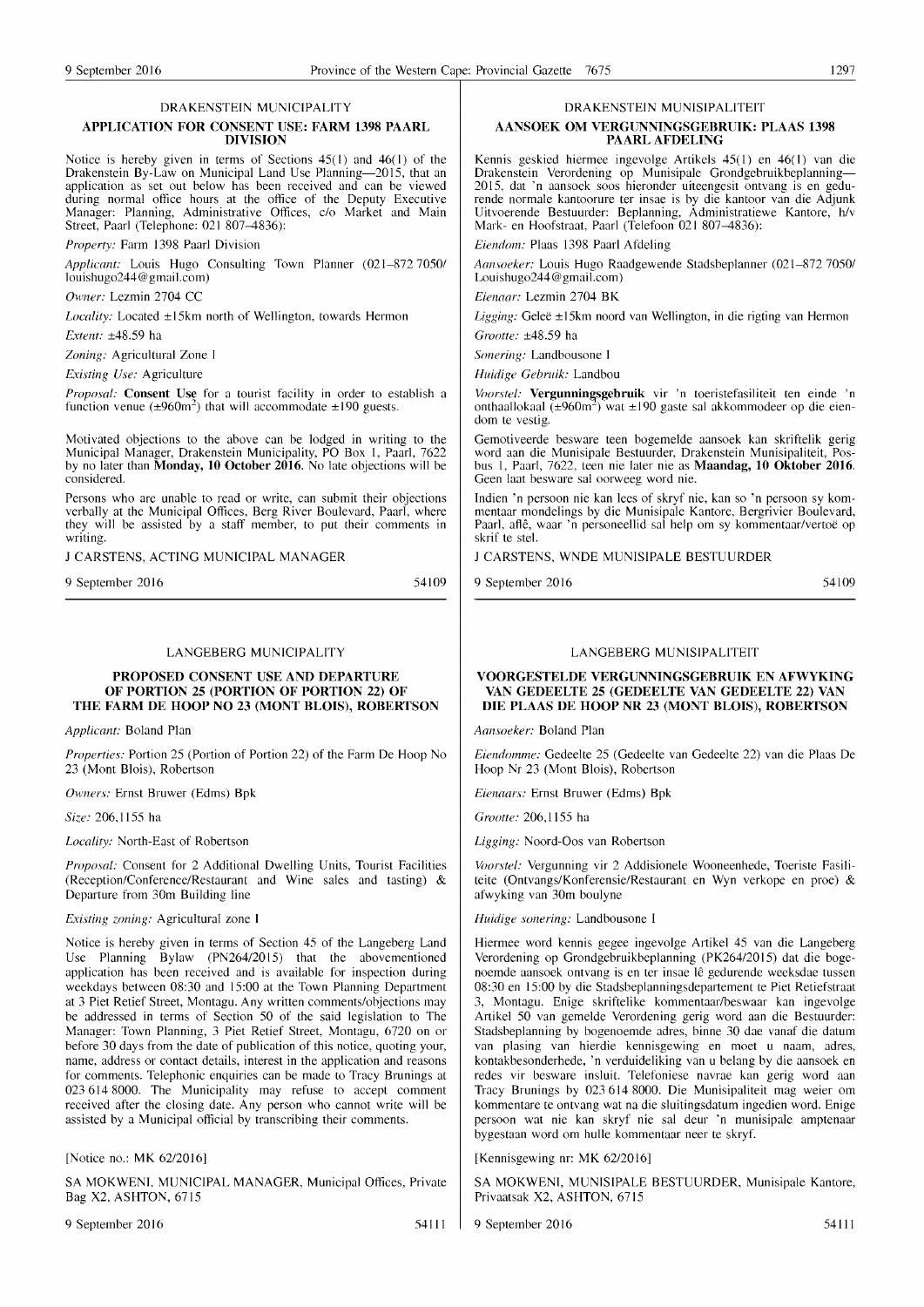#### DRAKENSTEIN MUNICIPALITY

#### APPLICATION FOR CONSENT USE: FARM 1398 PAARL DIVISION

Notice is hereby given in terms of Sections  $45(1)$  and  $46(1)$  of the Drakenstein By-Law on Municipal Land Use Planning-2015, that an application as set out below has been received and can be viewed during normal office hours at the office of the Deputy Executive Manager: Planning, Administrative Offices, c/o Market and Main Street, Paarl (Telephone: 021 807-4836):

*Property:* Farm 1398 Paarl Division

*Applicant:* Louis Hugo Consulting Town Planner (021-872 7050/ louishugo244@gmail.com)

*Owner:* Lezmin 2704 CC

*Locality:* Located ±15km north of Wellington, towards Hermon

*Extent:* ±48.59 ha

*Zoning:* Agricultural Zone I

*Existing Use:* Agriculture

*Proposal:* Consent Use for a tourist facility in order to establish a function venue ( $\pm 960$ m<sup>2</sup>) that will accommodate  $\pm 190$  guests.

Motivated objections to the above can be lodged in writing to the Municipal Manager, Drakenstein Municipality, PO Box I, Paarl, 7622 by no later than **Monday, 10 October 2016**. No late objections will be considered.

Persons who are unable to read or write, can submit their objections verbally at the Municipal Offices, Berg River Boulevard, Paarl, where they will be assisted by a staff member, to put their comments in writing.

J CARSTENS, ACTING MUNICIPAL MANAGER

9 September 2016

54109

#### LANGEBERG MUNICIPALITY

#### PROPOSED CONSENT USE AND DEPARTURE OF PORTION 25 (PORTION OF PORTION 22) OF THE FARM DE HOOP NO 23 (MONT BLOIS), ROBERTSON

*Applicant:* Boland Plan

*Properties:* Portion 25 (Portion of Portion 22) of the Farm De Hoop No 23 (Mont Blois), Robertson

*Owners:* Ernst Bruwer (Edms) Bpk

*Size:* 206,1155 ha

*Locality:* North-East of Robertson

*Proposal:* Consent for 2 Additional Dwelling Units, Tourist Facilities (Reception/Conference/Restaurant and Wine sales and tasting) & Departure from 30m Building line

*Existing zoning:* Agricultural zone I

Notice is hereby given in terms of Section 45 of the Langeberg Land Use Planning Bylaw (PN264/2015) that the abovementioned application has been received and is available for inspection during weekdays between 08:30 and 15:00 at the Town Planning Department at 3 Piet Retief Street, Montagu. Any written comments/objections may be addressed in terms of Section 50 of the said legislation to The Manager: Town Planning, 3 Piet Retief Street, Montagu, 6720 on or before 30 days from the date of publication of this notice, quoting your, name, address or contact details, interest in the application and reasons for comments. Telephonic enquiries can be made to Tracy Brunings at 0236148000. The Municipality may refuse to accept comment received after the closing date. Any person who cannot write will be assisted by a Municipal official by transcribing their comments.

[Notice no.: MK 62/2016]

SA MOKWENI, MUNICIPAL MANAGER, Municipal Offices, Private Bag X2, ASHTON, 6715

9 September 2016 54111

#### DRAKENSTEIN MUNISIPALITEIT

#### AANSOEK OM VERGUNNINGSGEBRUIK: PLAAS 1398 PAARL AFDELING

Kennis geskied hiermee ingevolge Artikels  $45(1)$  en  $46(1)$  van die Drakenstein Verordening op Munisipale Grondgebruikbeplanning-2015, dat 'n aansoek soos hieronder uiteengesit ontvang is en gedurende normale kantoorure ter insae is by die kantoor van die Adjunk Uitvoerende Bestuurder: Beplanning, Administratiewe Kantore, h/v Mark- en Hoofstraat. Paarl (Telefoon 021 807-4836):

*£lendOln:* Plaas 1398 Paarl Afdeling

*Aansoeker:* Louis Hugo Raadgewende Stadsbeplanner (021-872 7050/ Louishugo244@gmail.com)

*Eienaar:* Lezmin 2704 BK

*Ligging:* Geleë ±15km noord van Wellington, in die rigting van Hermon *Grootte:* ±48.59 ha

*Sonering:* Landbousone I

*Huidige Gebruik:* Landbou

Voorstel: Vergunningsgebruik vir 'n toeristefasiliteit ten einde 'n onthaallokaal  $(\pm 960 \text{m}^2)$  wat  $\pm 190$  gaste sal akkommodeer op die eiendom te vestig.

Gemotiveerde besware teen bogemelde aansoek kan skriftelik gerig word aan die Munisipale Bestuurder, Drakenstein Munisipaliteit, Posbus I, Paarl, 7622. teen nie later nie as Maandag, 10 Oktober 2016. Geen laat besware sal oorweeg word nie.

Indien 'n persoon nie kan lees of skryf nie, kan so 'n persoon sy kommentaar mondelings by die Munisipale Kantore, Bergrivier Boulevard, Paarl, aflê, waar 'n personeellid sal help om sy kommentaar/vertoë op skrif te stel.

J CARSTENS, WNDE MUNISIPALE BESTUURDER

9 September 2016 54109

#### LANGEBERG MUNISIPALITEIT

#### VOORGESTELDE VERGUNNINGSGEBRUIK EN AFWYKING VAN GEDEELTE 25 (GEDEELTE VAN GEDEELTE 22) VAN DIE PLAAS DE HOOP NR 23 (MONT BLOIS), ROBERTSON

*Aallsoeker:* Boland Plan

*Eiendomme:* Gedeelte 25 (Gedeelte van Gedeelte 22) van die Plaas De Hoop Nr 23 (Mont Blois), Robertson

*Eienaars:* Ernst Bruwer (Edms) Bpk

*Grootte:* 206,1155 ha

*Ligging:* Noord-Oos van Robertson

*Voorstel: Vergunning vir 2 Addisionele Wooneenhede, Toeriste Fasili*teite (Ontvangs/Konferensie/Restaurant en Wyn verkope en proe) & afwyking van 30m boulyne

*Huidige sonering:* Landbousone I

Hiermee word kennis gegee ingevolge Artikel 45 van die Langeberg Verordening op Grondgebruikbeplanning (PK264/2015) dat die bogenoemde aansoek ontvang is en ter insae lê gedurende weeksdae tussen 08:30 en 15:00 by die Stadsbeplanningsdepartement te Piet Retiefstraat 3, Montagu. Enige skriftelike kommentaar/beswaar kan ingevolge Artikel 50 van gemelde Verordening gerig word aan die Bestuurder: Stadsbeplanning by bogenoemde adres, binne 30 dae vanaf die datum van plasing van hierdie kennisgewing en moet u naam, adres, kontakbesonderhede, 'n verduideliking van u belang by die aansoek en redes vir besware insluit. Telefoniese navrae kan gerig word aan Tracy Brunings by 023 614 8000. Die Munisipaliteit mag weier om kommentare te ontvang wat na die sluitingsdatum ingedien word. Enige persoon wat nie kan skryf nie sal deur 'n munisipale amptenaar bygestaan word om hulle kommentaar neer te skryf.

[Kennisgewing nr: MK 62/2016]

SA MOKWENI, MUNISIPALE BESTUURDER, Munisipale Kantore, Privaatsak X2, ASHTON, 6715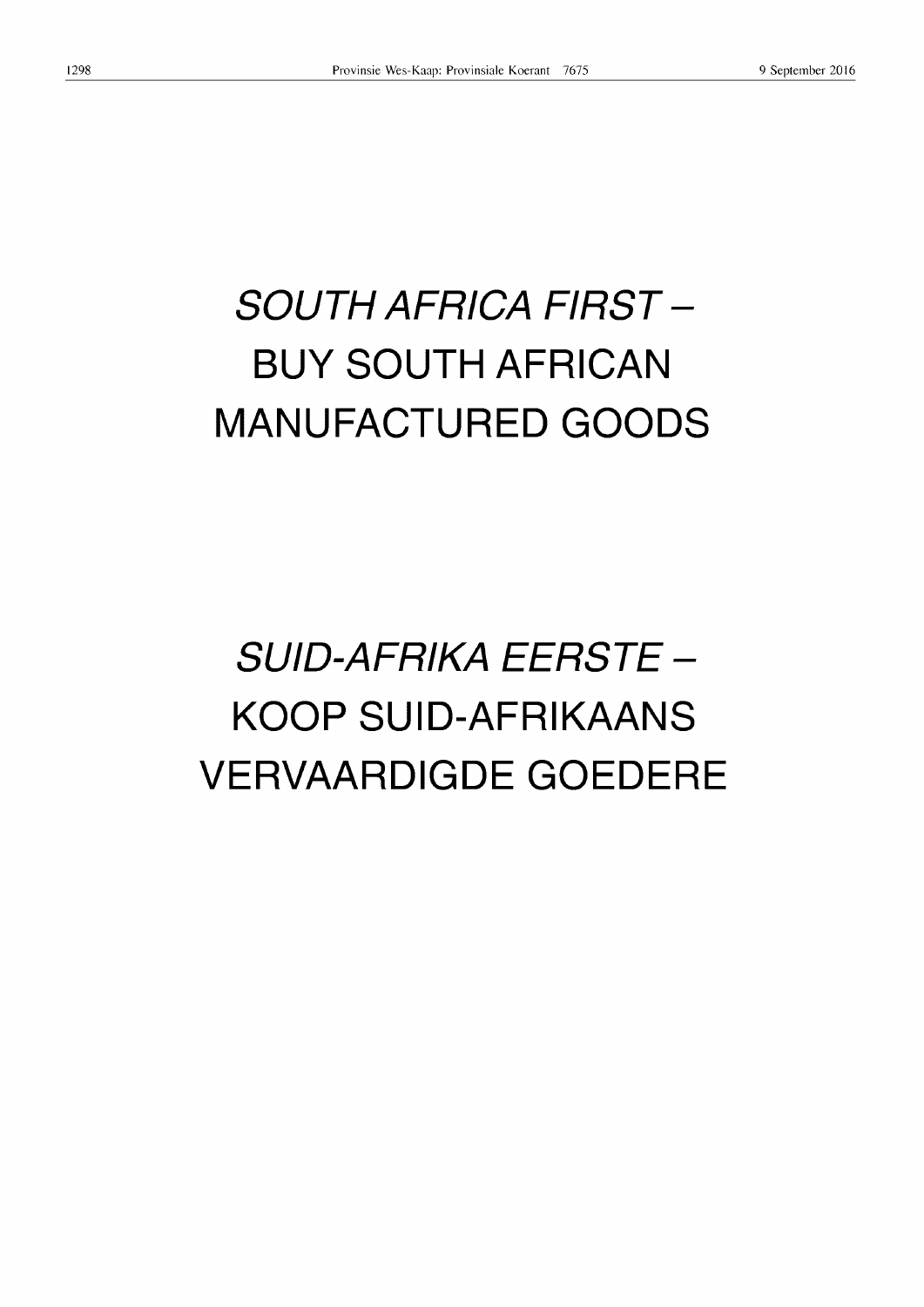# **SOUTH AFRICA FIRST - BUY SOUTH AFRICAN MANUFACTURED GOODS**

## **SUIO-AFRIKA EERSTE - KOOP SUID-AFRIKAANS VERVAARDIGDE GOEDERE**